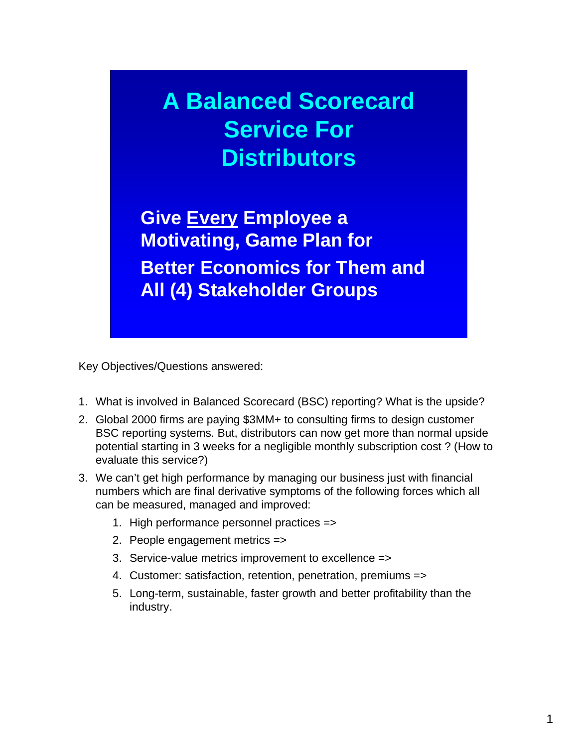# **A Balanced Scorecard Service For Distributors**

**Give Every Employee a Motivating, Game Plan for Better Economics for Them and All (4) Stakeholder Groups**

Key Objectives/Questions answered:

- 1. What is involved in Balanced Scorecard (BSC) reporting? What is the upside?
- 2. Global 2000 firms are paying \$3MM+ to consulting firms to design customer BSC reporting systems. But, distributors can now get more than normal upside potential starting in 3 weeks for a negligible monthly subscription cost ? (How to evaluate this service?)
- 3. We can't get high performance by managing our business just with financial numbers which are final derivative symptoms of the following forces which all can be measured, managed and improved:
	- 1. High performance personnel practices =>
	- 2. People engagement metrics =>
	- 3. Service-value metrics improvement to excellence =>
	- 4. Customer: satisfaction, retention, penetration, premiums =>
	- 5. Long-term, sustainable, faster growth and better profitability than the industry.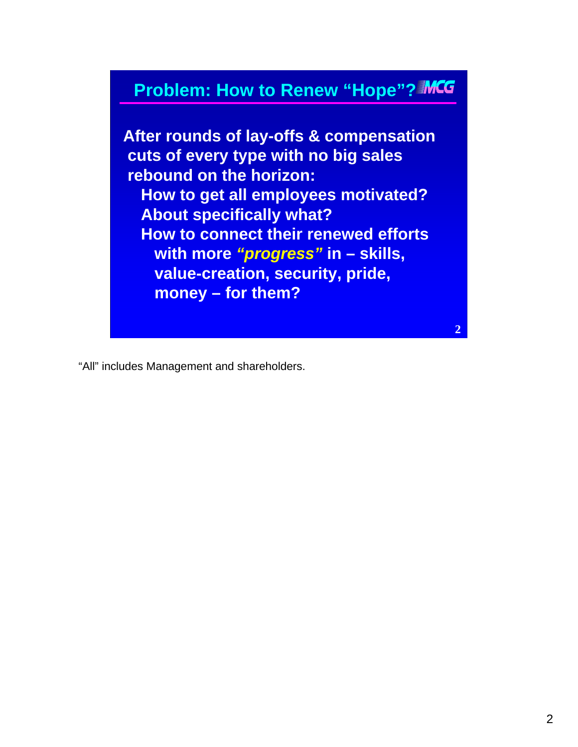### **Problem: How to Renew "Hope"?**

**After rounds of lay-offs & compensation cuts of every type with no big sales rebound on the horizon: How to get all employees motivated? About specifically what? How to connect their renewed efforts with more** *"progress"* **in – skills, value-creation, security, pride, money – for them?**

"All" includes Management and shareholders.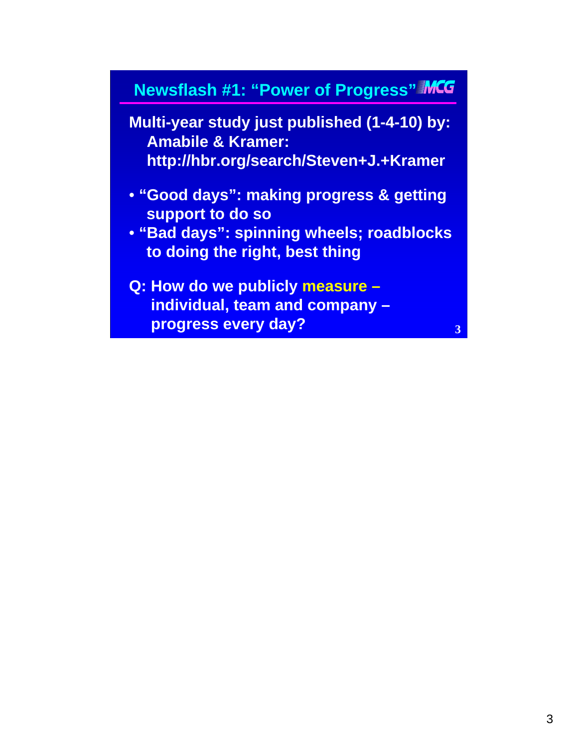### **Newsflash #1: "Power of Progress"**

**Multi-year study just published (1-4-10) by: Amabile & Kramer: http://hbr.org/search/Steven+J.+Kramer**

- **"Good days": making progress & getting support to do so**
- **"Bad days": spinning wheels; roadblocks to doing the right, best thing**
- **Q: How do we publicly measure – individual, team and company – progress every day?**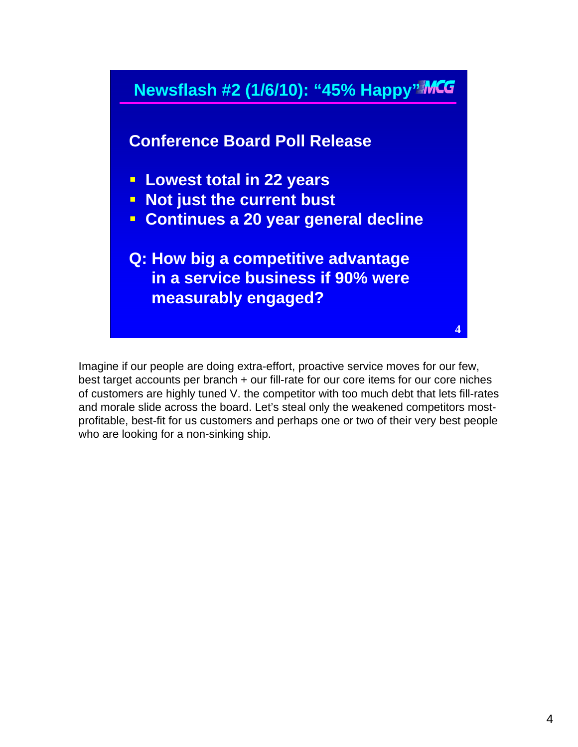

Imagine if our people are doing extra-effort, proactive service moves for our few, best target accounts per branch + our fill-rate for our core items for our core niches of customers are highly tuned V. the competitor with too much debt that lets fill-rates and morale slide across the board. Let's steal only the weakened competitors mostprofitable, best-fit for us customers and perhaps one or two of their very best people who are looking for a non-sinking ship.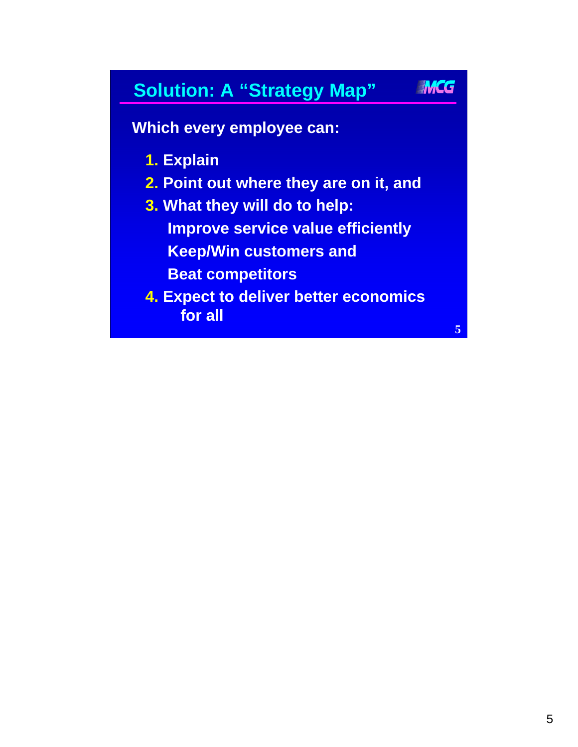### **Solution: A "Strategy Map"**

**Which every employee can:**

- **1. Explain**
- **2. Point out where they are on it, and**
- **3. What they will do to help: Improve service value efficiently Keep/Win customers and Beat competitors**
- **4. Expect to deliver better economics for all**

**5**

IMCG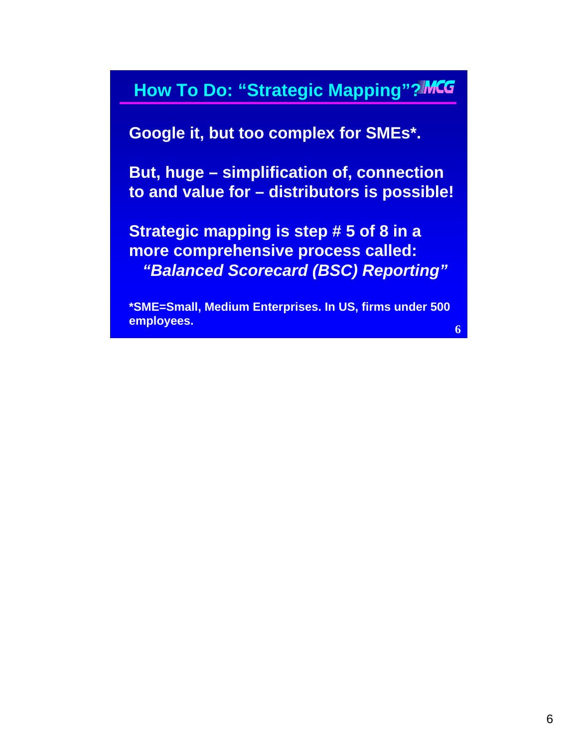### **How To Do: "Strategic Mapping"?MCG**

**Google it, but too complex for SMEs\*.**

**But, huge – simplification of, connection to and value for – distributors is possible!**

**Strategic mapping is step # 5 of 8 in a more comprehensive process called:** *"Balanced Scorecard (BSC) Reporting"*

**\*SME=Small, Medium Enterprises. In US, firms under 500 employees.**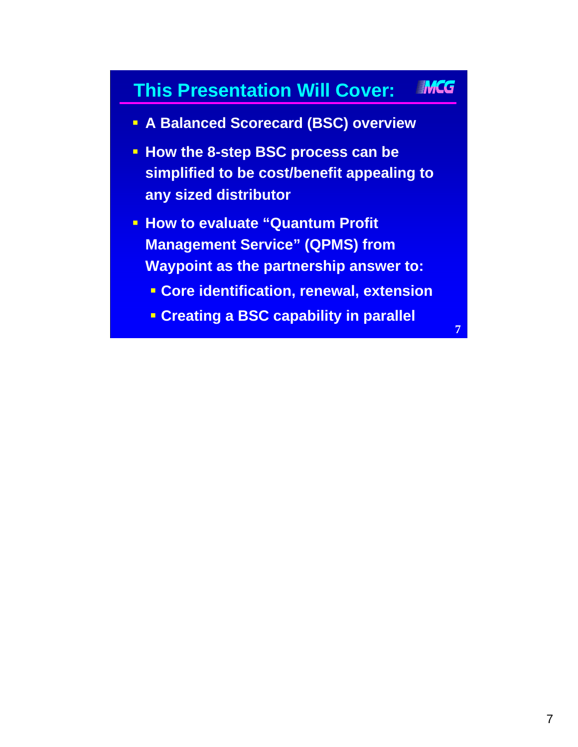#### **IMCG This Presentation Will Cover:**

- **A Balanced Scorecard (BSC) overview**
- **How the 8-step BSC process can be simplified to be cost/benefit appealing to any sized distributor**
- **How to evaluate "Quantum Profit" Management Service" (QPMS) from Waypoint as the partnership answer to:**
	- **Core identification, renewal, extension**
	- **Creating a BSC capability in parallel**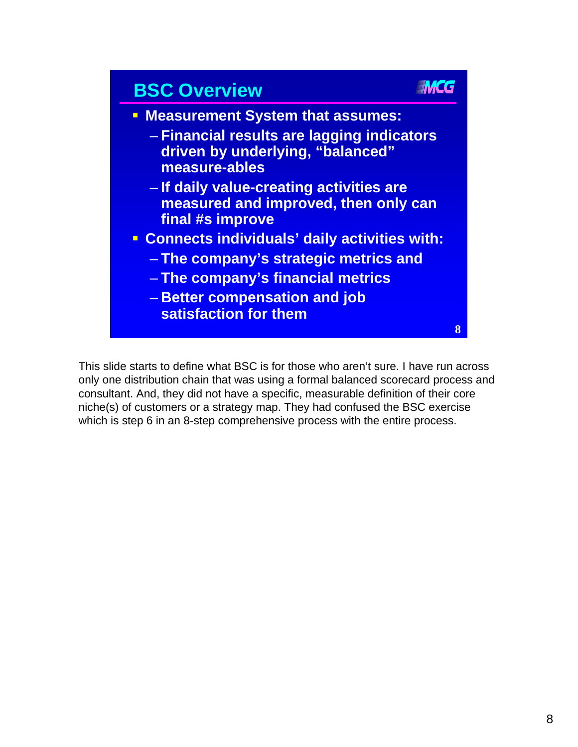

This slide starts to define what BSC is for those who aren't sure. I have run across only one distribution chain that was using a formal balanced scorecard process and consultant. And, they did not have a specific, measurable definition of their core niche(s) of customers or a strategy map. They had confused the BSC exercise which is step 6 in an 8-step comprehensive process with the entire process.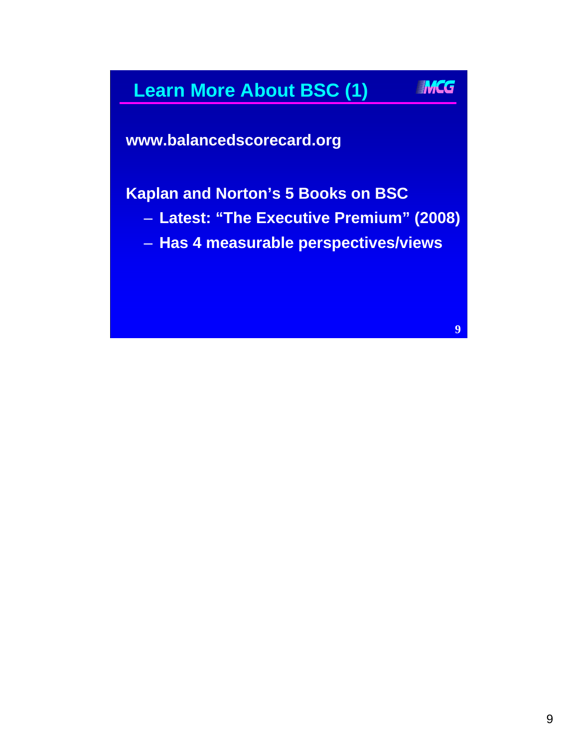#### IMCG **Learn More About BSC (1)**

**www.balancedscorecard.org**

**Kaplan and Norton's 5 Books on BSC**

- **Latest: "The Executive Premium" (2008)**
- **Has 4 measurable perspectives/views**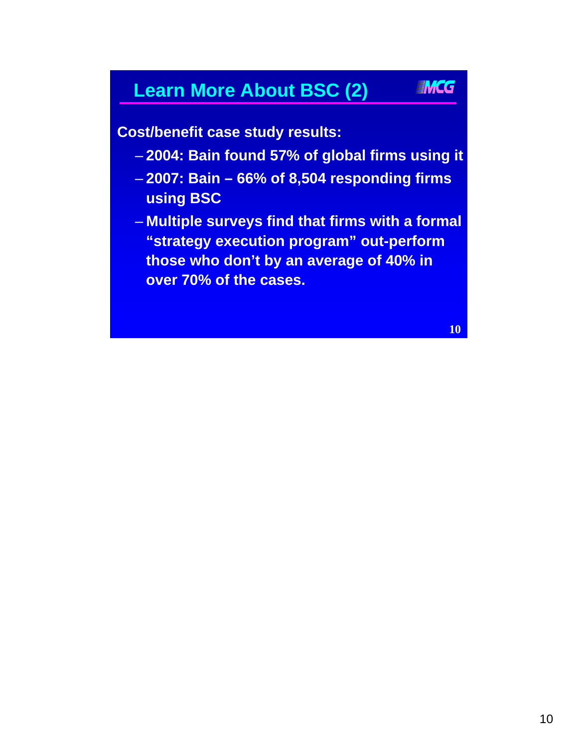### **Learn More About BSC (2)**

**Cost/benefit case study results:**

- **2004: Bain found 57% of global firms using it**
- **2007: Bain 66% of 8,504 responding firms using BSC**
- **Multiple surveys find that firms with a formal "strategy execution program" out-perform those who don't by an average of 40% in over 70% of the cases.**

**10**

**IMCG**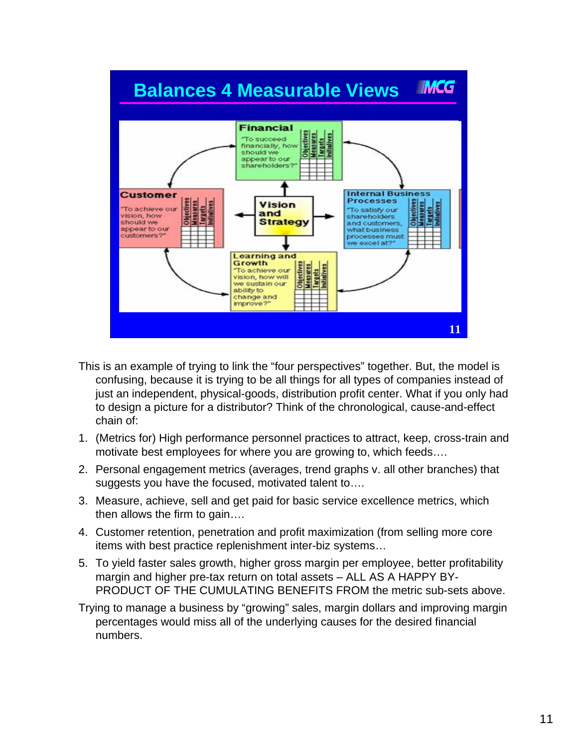

- This is an example of trying to link the "four perspectives" together. But, the model is confusing, because it is trying to be all things for all types of companies instead of just an independent, physical-goods, distribution profit center. What if you only had to design a picture for a distributor? Think of the chronological, cause-and-effect chain of:
- 1. (Metrics for) High performance personnel practices to attract, keep, cross-train and motivate best employees for where you are growing to, which feeds….
- 2. Personal engagement metrics (averages, trend graphs v. all other branches) that suggests you have the focused, motivated talent to….
- 3. Measure, achieve, sell and get paid for basic service excellence metrics, which then allows the firm to gain….
- 4. Customer retention, penetration and profit maximization (from selling more core items with best practice replenishment inter-biz systems…
- 5. To yield faster sales growth, higher gross margin per employee, better profitability margin and higher pre-tax return on total assets – ALL AS A HAPPY BY-PRODUCT OF THE CUMULATING BENEFITS FROM the metric sub-sets above.
- Trying to manage a business by "growing" sales, margin dollars and improving margin percentages would miss all of the underlying causes for the desired financial numbers.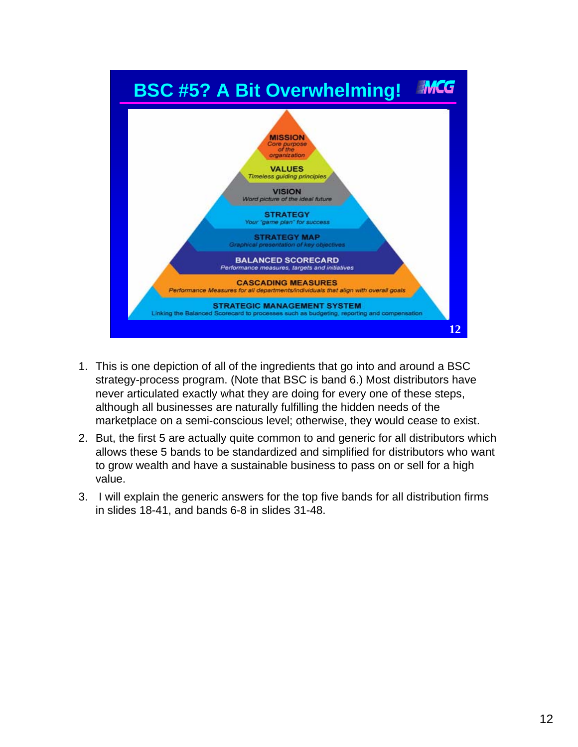

- 1. This is one depiction of all of the ingredients that go into and around a BSC strategy-process program. (Note that BSC is band 6.) Most distributors have never articulated exactly what they are doing for every one of these steps, although all businesses are naturally fulfilling the hidden needs of the marketplace on a semi-conscious level; otherwise, they would cease to exist.
- 2. But, the first 5 are actually quite common to and generic for all distributors which allows these 5 bands to be standardized and simplified for distributors who want to grow wealth and have a sustainable business to pass on or sell for a high value.
- 3. I will explain the generic answers for the top five bands for all distribution firms in slides 18-41, and bands 6-8 in slides 31-48.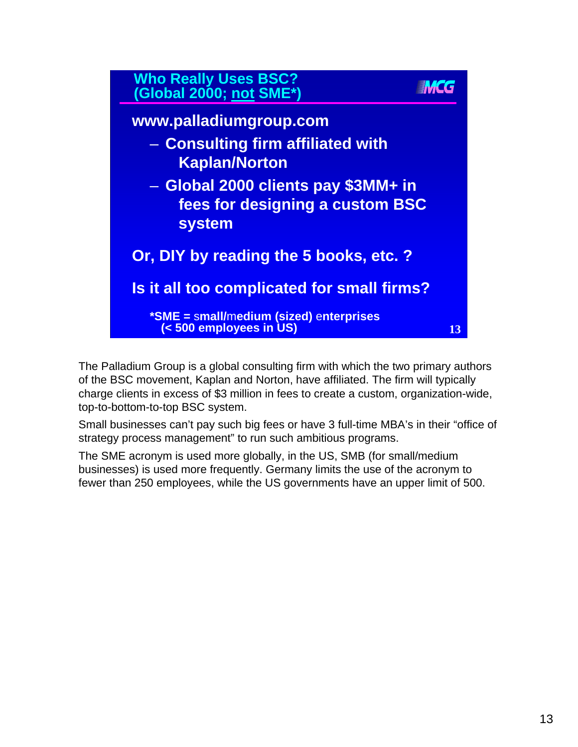

The Palladium Group is a global consulting firm with which the two primary authors of the BSC movement, Kaplan and Norton, have affiliated. The firm will typically charge clients in excess of \$3 million in fees to create a custom, organization-wide, top-to-bottom-to-top BSC system.

Small businesses can't pay such big fees or have 3 full-time MBA's in their "office of strategy process management" to run such ambitious programs.

The SME acronym is used more globally, in the US, SMB (for small/medium businesses) is used more frequently. Germany limits the use of the acronym to fewer than 250 employees, while the US governments have an upper limit of 500.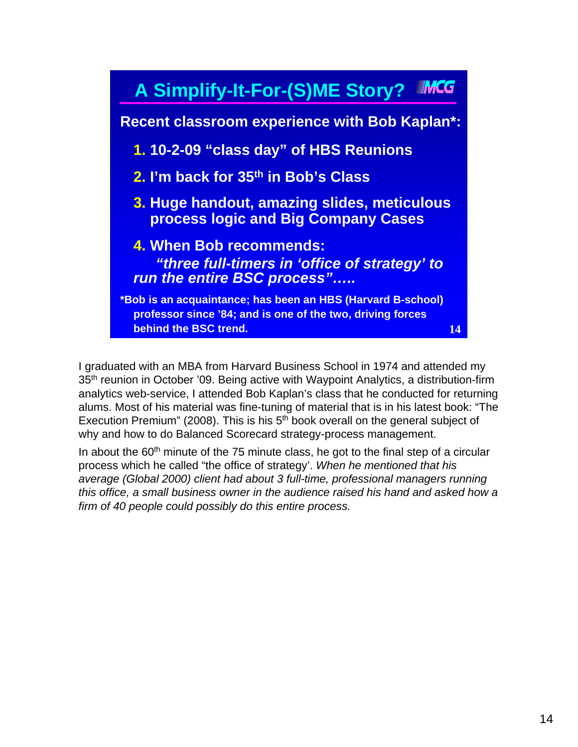

I graduated with an MBA from Harvard Business School in 1974 and attended my 35<sup>th</sup> reunion in October '09. Being active with Waypoint Analytics, a distribution-firm analytics web-service, I attended Bob Kaplan's class that he conducted for returning alums. Most of his material was fine-tuning of material that is in his latest book: "The Execution Premium" (2008). This is his  $5<sup>th</sup>$  book overall on the general subject of why and how to do Balanced Scorecard strategy-process management.

In about the  $60<sup>th</sup>$  minute of the 75 minute class, he got to the final step of a circular process which he called "the office of strategy'. *When he mentioned that his average (Global 2000) client had about 3 full-time, professional managers running this office, a small business owner in the audience raised his hand and asked how a firm of 40 people could possibly do this entire process.*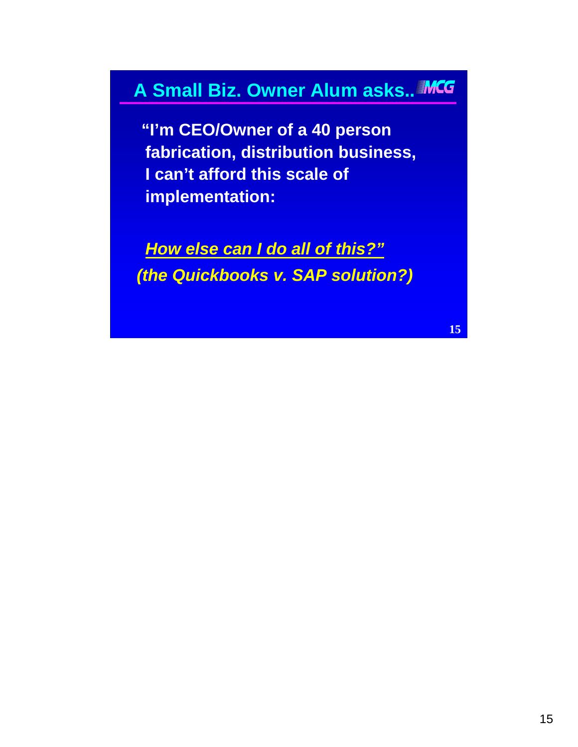### **A Small Biz. Owner Alum asks..**

**"I'm CEO/Owner of a 40 person fabrication, distribution business, I can't afford this scale of implementation:**

*How else can I do all of this?" (the Quickbooks v. SAP solution?)*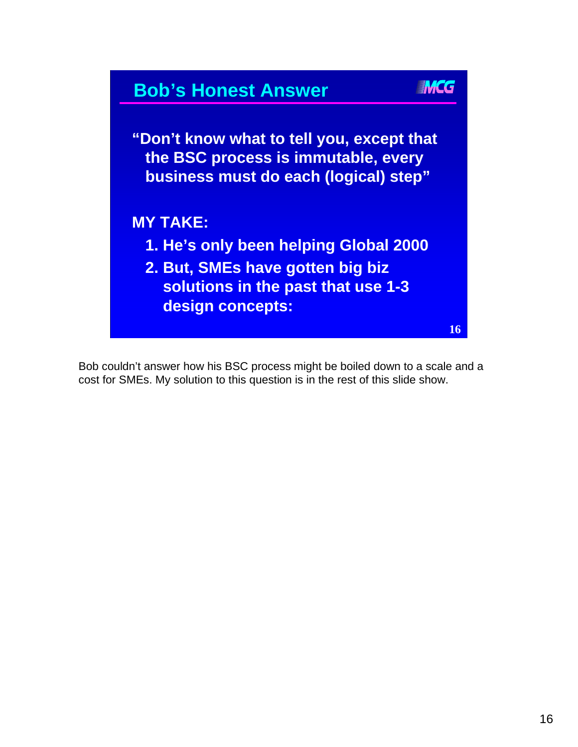

Bob couldn't answer how his BSC process might be boiled down to a scale and a cost for SMEs. My solution to this question is in the rest of this slide show.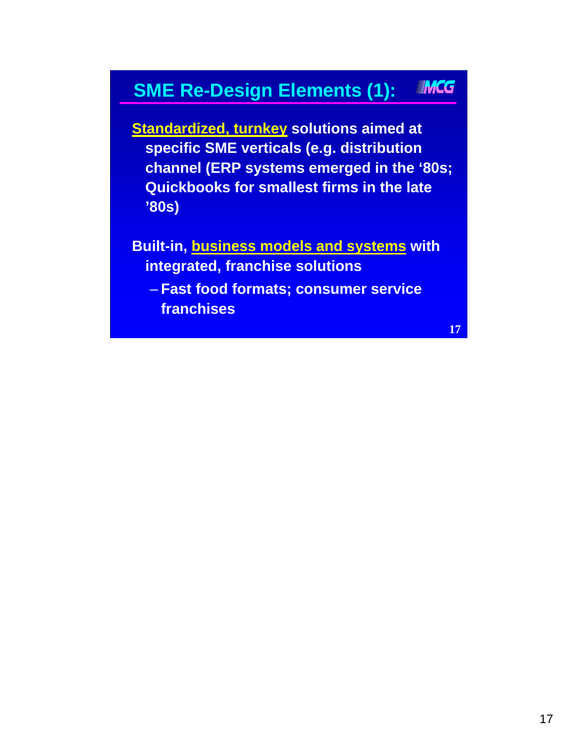#### IMCG **SME Re-Design Elements (1):**

**Standardized, turnkey solutions aimed at specific SME verticals (e.g. distribution channel (ERP systems emerged in the '80s; Quickbooks for smallest firms in the late '80s)** 

**Built-in, business models and systems with integrated, franchise solutions** 

– **Fast food formats; consumer service franchises**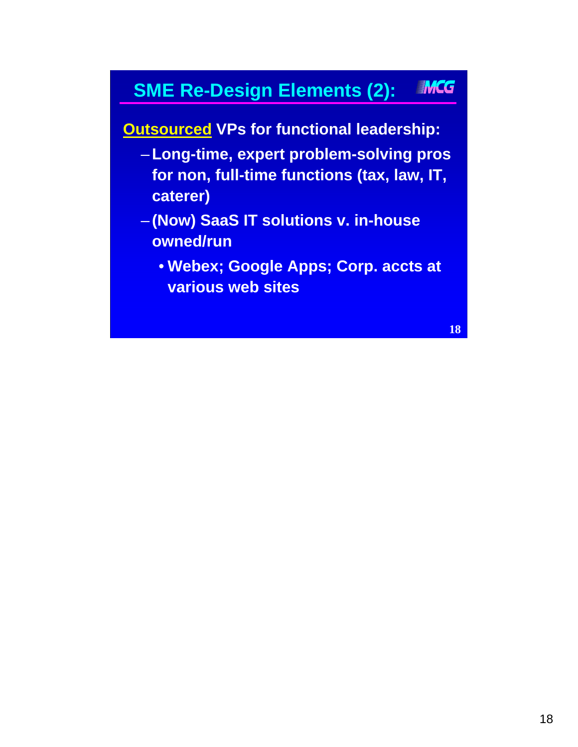#### IMCG **SME Re-Design Elements (2):**

**Outsourced VPs for functional leadership:** 

- –**Long-time, expert problem-solving pros for non, full-time functions (tax, law, IT, caterer)**
- **(Now) SaaS IT solutions v. in-house owned/run**
	- **Webex; Google Apps; Corp. accts at various web sites**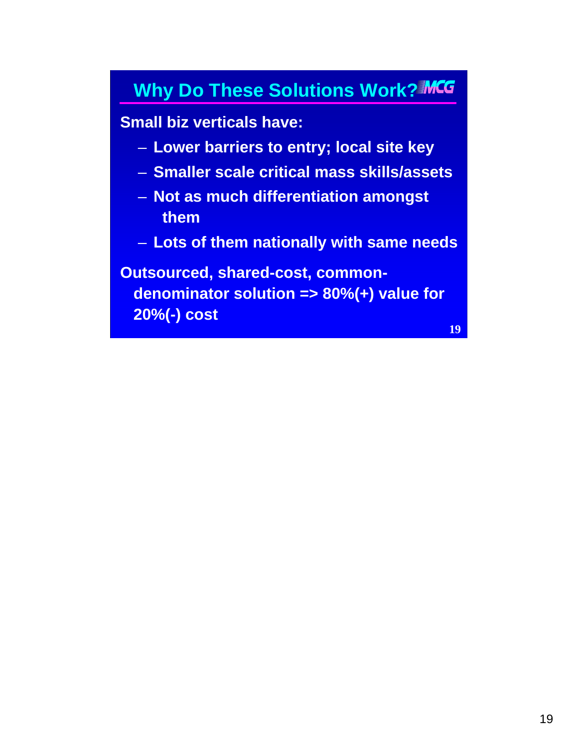### **Why Do These Solutions Work?MCG**

### **Small biz verticals have:**

- **Lower barriers to entry; local site key**
- **Smaller scale critical mass skills/assets**
- **Not as much differentiation amongst them**
- **Lots of them nationally with same needs**

**Outsourced, shared-cost, commondenominator solution => 80%(+) value for 20%(-) cost**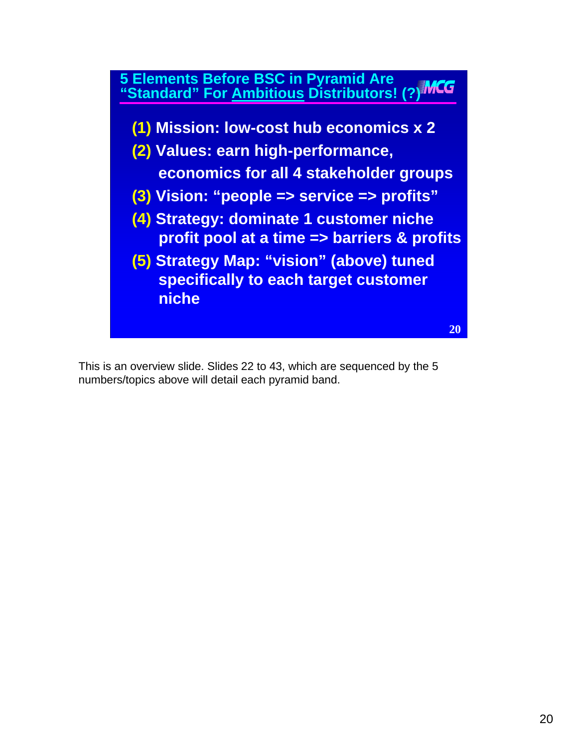

This is an overview slide. Slides 22 to 43, which are sequenced by the 5 numbers/topics above will detail each pyramid band.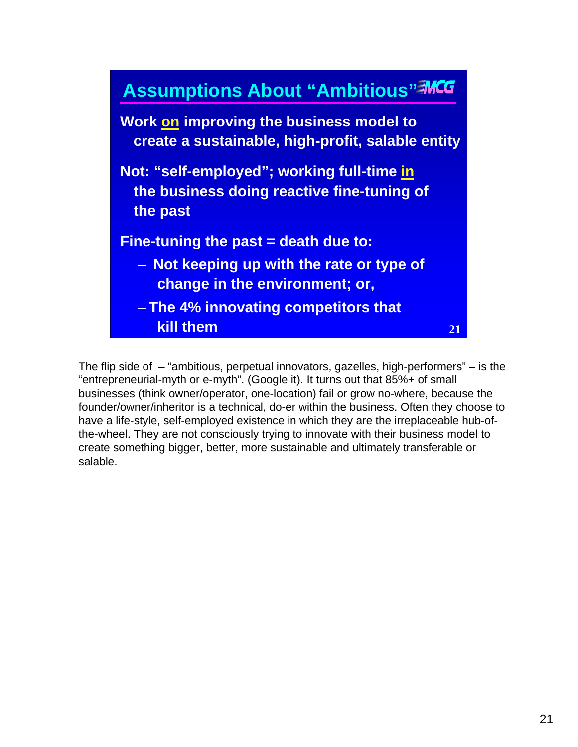

The flip side of  $-$  "ambitious, perpetual innovators, gazelles, high-performers"  $-$  is the "entrepreneurial-myth or e-myth". (Google it). It turns out that 85%+ of small businesses (think owner/operator, one-location) fail or grow no-where, because the founder/owner/inheritor is a technical, do-er within the business. Often they choose to have a life-style, self-employed existence in which they are the irreplaceable hub-ofthe-wheel. They are not consciously trying to innovate with their business model to create something bigger, better, more sustainable and ultimately transferable or salable.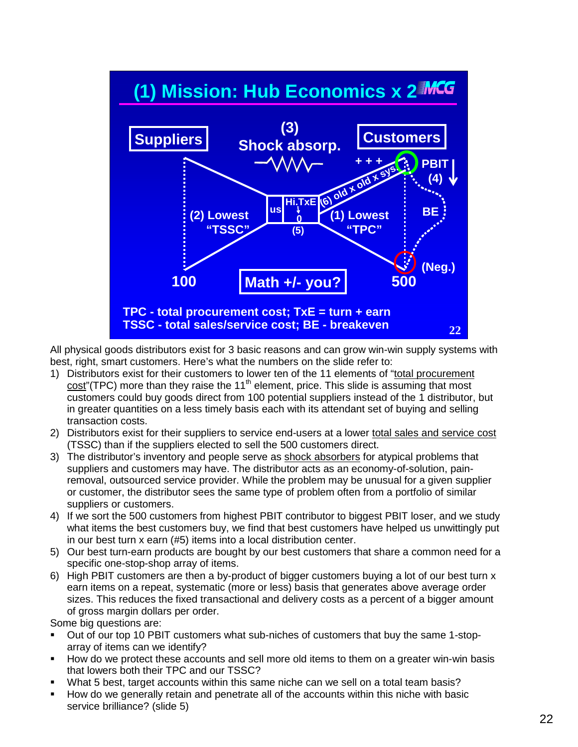

All physical goods distributors exist for 3 basic reasons and can grow win-win supply systems with best, right, smart customers. Here's what the numbers on the slide refer to:

- 1) Distributors exist for their customers to lower ten of the 11 elements of "total procurement  $cost''(TPC)$  more than they raise the 11<sup>th</sup> element, price. This slide is assuming that most customers could buy goods direct from 100 potential suppliers instead of the 1 distributor, but in greater quantities on a less timely basis each with its attendant set of buying and selling transaction costs.
- 2) Distributors exist for their suppliers to service end-users at a lower total sales and service cost (TSSC) than if the suppliers elected to sell the 500 customers direct.
- 3) The distributor's inventory and people serve as shock absorbers for atypical problems that suppliers and customers may have. The distributor acts as an economy-of-solution, painremoval, outsourced service provider. While the problem may be unusual for a given supplier or customer, the distributor sees the same type of problem often from a portfolio of similar suppliers or customers.
- 4) If we sort the 500 customers from highest PBIT contributor to biggest PBIT loser, and we study what items the best customers buy, we find that best customers have helped us unwittingly put in our best turn x earn (#5) items into a local distribution center.
- 5) Our best turn-earn products are bought by our best customers that share a common need for a specific one-stop-shop array of items.
- 6) High PBIT customers are then a by-product of bigger customers buying a lot of our best turn x earn items on a repeat, systematic (more or less) basis that generates above average order sizes. This reduces the fixed transactional and delivery costs as a percent of a bigger amount of gross margin dollars per order.

Some big questions are:

- Out of our top 10 PBIT customers what sub-niches of customers that buy the same 1-stoparray of items can we identify?
- How do we protect these accounts and sell more old items to them on a greater win-win basis that lowers both their TPC and our TSSC?
- What 5 best, target accounts within this same niche can we sell on a total team basis?
- How do we generally retain and penetrate all of the accounts within this niche with basic service brilliance? (slide 5)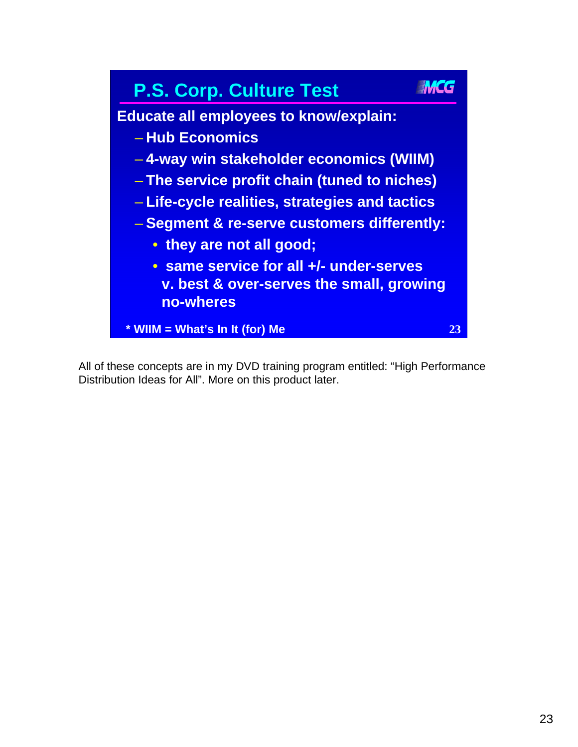

All of these concepts are in my DVD training program entitled: "High Performance Distribution Ideas for All". More on this product later.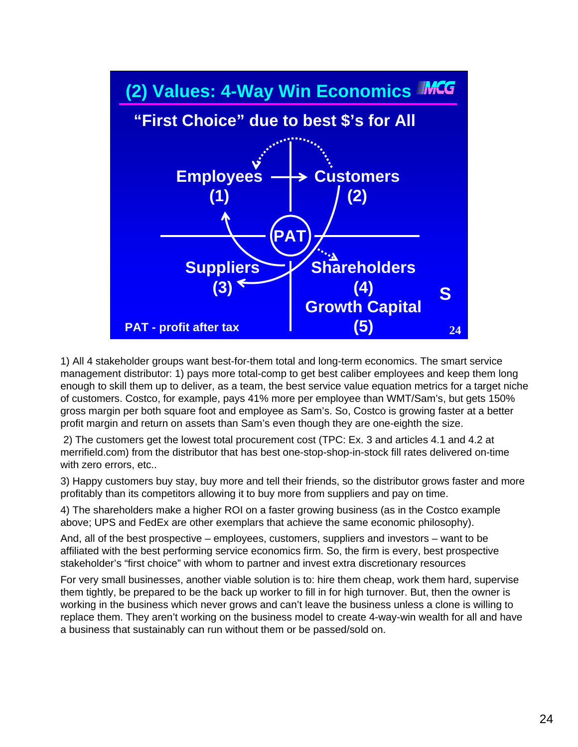

1) All 4 stakeholder groups want best-for-them total and long-term economics. The smart service management distributor: 1) pays more total-comp to get best caliber employees and keep them long enough to skill them up to deliver, as a team, the best service value equation metrics for a target niche of customers. Costco, for example, pays 41% more per employee than WMT/Sam's, but gets 150% gross margin per both square foot and employee as Sam's. So, Costco is growing faster at a better profit margin and return on assets than Sam's even though they are one-eighth the size.

2) The customers get the lowest total procurement cost (TPC: Ex. 3 and articles 4.1 and 4.2 at merrifield.com) from the distributor that has best one-stop-shop-in-stock fill rates delivered on-time with zero errors, etc..

3) Happy customers buy stay, buy more and tell their friends, so the distributor grows faster and more profitably than its competitors allowing it to buy more from suppliers and pay on time.

4) The shareholders make a higher ROI on a faster growing business (as in the Costco example above; UPS and FedEx are other exemplars that achieve the same economic philosophy).

And, all of the best prospective – employees, customers, suppliers and investors – want to be affiliated with the best performing service economics firm. So, the firm is every, best prospective stakeholder's "first choice" with whom to partner and invest extra discretionary resources

For very small businesses, another viable solution is to: hire them cheap, work them hard, supervise them tightly, be prepared to be the back up worker to fill in for high turnover. But, then the owner is working in the business which never grows and can't leave the business unless a clone is willing to replace them. They aren't working on the business model to create 4-way-win wealth for all and have a business that sustainably can run without them or be passed/sold on.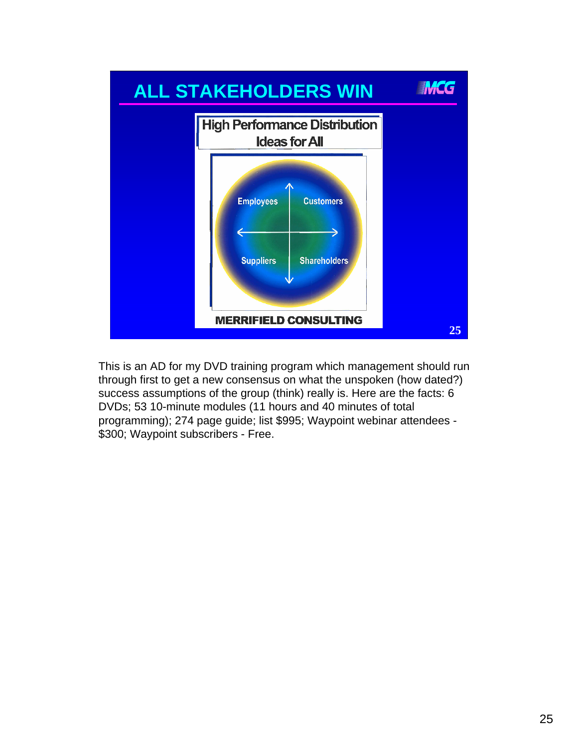

This is an AD for my DVD training program which management should run through first to get a new consensus on what the unspoken (how dated?) success assumptions of the group (think) really is. Here are the facts: 6 DVDs; 53 10-minute modules (11 hours and 40 minutes of total programming); 274 page guide; list \$995; Waypoint webinar attendees - \$300; Waypoint subscribers - Free.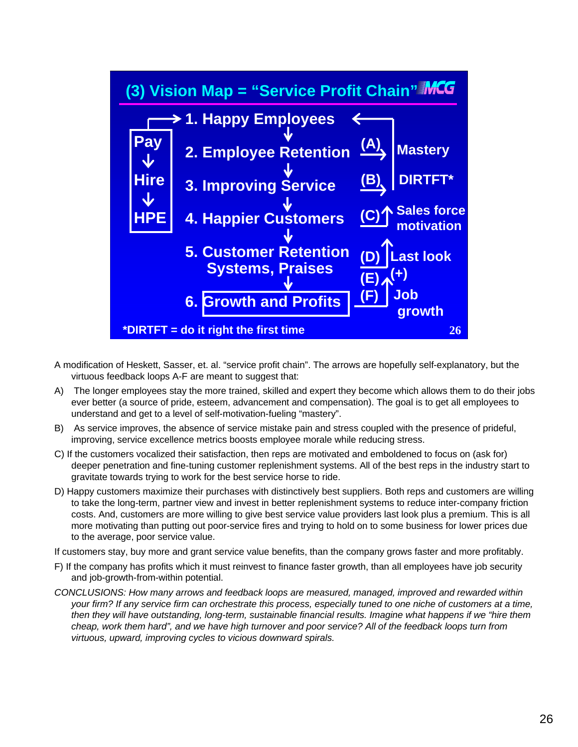

- A modification of Heskett, Sasser, et. al. "service profit chain". The arrows are hopefully self-explanatory, but the virtuous feedback loops A-F are meant to suggest that:
- A) The longer employees stay the more trained, skilled and expert they become which allows them to do their jobs ever better (a source of pride, esteem, advancement and compensation). The goal is to get all employees to understand and get to a level of self-motivation-fueling "mastery".
- B) As service improves, the absence of service mistake pain and stress coupled with the presence of prideful, improving, service excellence metrics boosts employee morale while reducing stress.
- C) If the customers vocalized their satisfaction, then reps are motivated and emboldened to focus on (ask for) deeper penetration and fine-tuning customer replenishment systems. All of the best reps in the industry start to gravitate towards trying to work for the best service horse to ride.
- D) Happy customers maximize their purchases with distinctively best suppliers. Both reps and customers are willing to take the long-term, partner view and invest in better replenishment systems to reduce inter-company friction costs. And, customers are more willing to give best service value providers last look plus a premium. This is all more motivating than putting out poor-service fires and trying to hold on to some business for lower prices due to the average, poor service value.

If customers stay, buy more and grant service value benefits, than the company grows faster and more profitably.

- F) If the company has profits which it must reinvest to finance faster growth, than all employees have job security and job-growth-from-within potential.
- *CONCLUSIONS: How many arrows and feedback loops are measured, managed, improved and rewarded within your firm? If any service firm can orchestrate this process, especially tuned to one niche of customers at a time, then they will have outstanding, long-term, sustainable financial results. Imagine what happens if we "hire them cheap, work them hard", and we have high turnover and poor service? All of the feedback loops turn from virtuous, upward, improving cycles to vicious downward spirals.*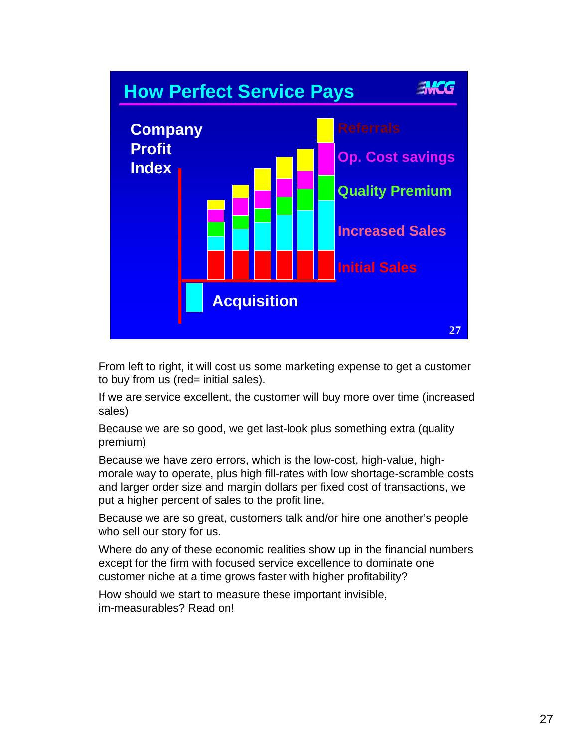

From left to right, it will cost us some marketing expense to get a customer to buy from us (red= initial sales).

If we are service excellent, the customer will buy more over time (increased sales)

Because we are so good, we get last-look plus something extra (quality premium)

Because we have zero errors, which is the low-cost, high-value, highmorale way to operate, plus high fill-rates with low shortage-scramble costs and larger order size and margin dollars per fixed cost of transactions, we put a higher percent of sales to the profit line.

Because we are so great, customers talk and/or hire one another's people who sell our story for us.

Where do any of these economic realities show up in the financial numbers except for the firm with focused service excellence to dominate one customer niche at a time grows faster with higher profitability?

How should we start to measure these important invisible, im-measurables? Read on!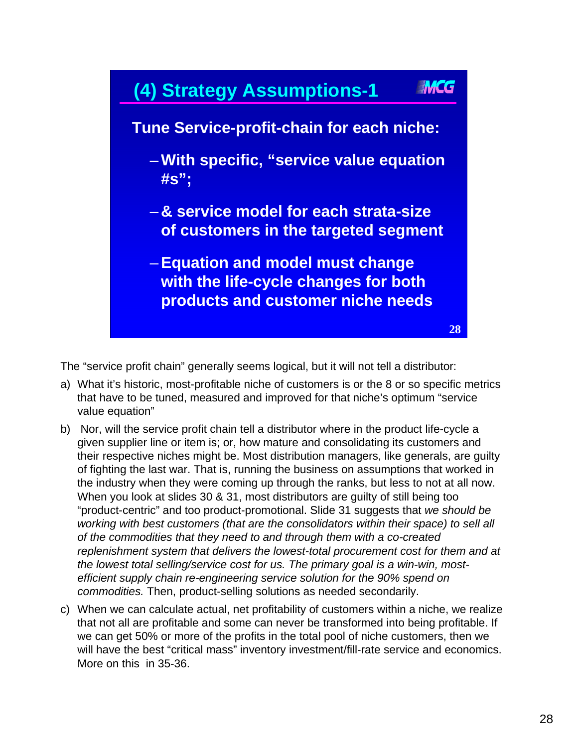

The "service profit chain" generally seems logical, but it will not tell a distributor:

- a) What it's historic, most-profitable niche of customers is or the 8 or so specific metrics that have to be tuned, measured and improved for that niche's optimum "service value equation"
- b) Nor, will the service profit chain tell a distributor where in the product life-cycle a given supplier line or item is; or, how mature and consolidating its customers and their respective niches might be. Most distribution managers, like generals, are guilty of fighting the last war. That is, running the business on assumptions that worked in the industry when they were coming up through the ranks, but less to not at all now. When you look at slides 30 & 31, most distributors are guilty of still being too "product-centric" and too product-promotional. Slide 31 suggests that *we should be working with best customers (that are the consolidators within their space) to sell all of the commodities that they need to and through them with a co-created replenishment system that delivers the lowest-total procurement cost for them and at the lowest total selling/service cost for us. The primary goal is a win-win, mostefficient supply chain re-engineering service solution for the 90% spend on commodities.* Then, product-selling solutions as needed secondarily.
- c) When we can calculate actual, net profitability of customers within a niche, we realize that not all are profitable and some can never be transformed into being profitable. If we can get 50% or more of the profits in the total pool of niche customers, then we will have the best "critical mass" inventory investment/fill-rate service and economics. More on this in 35-36.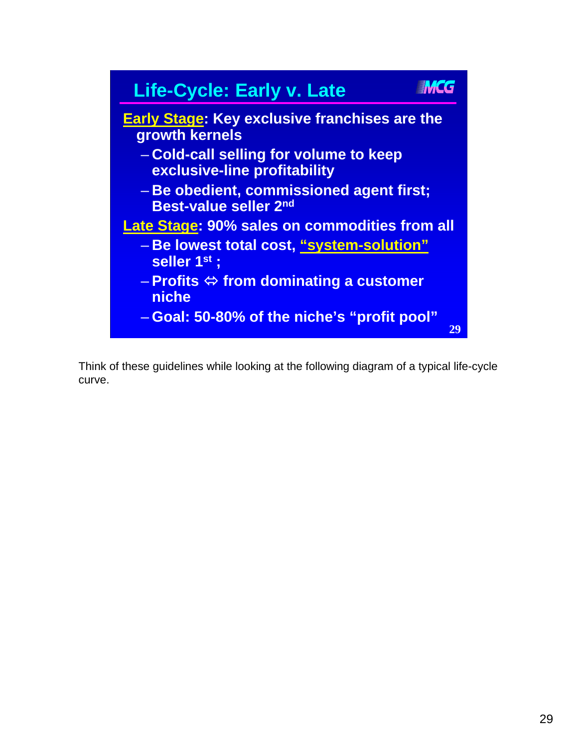

Think of these guidelines while looking at the following diagram of a typical life-cycle curve.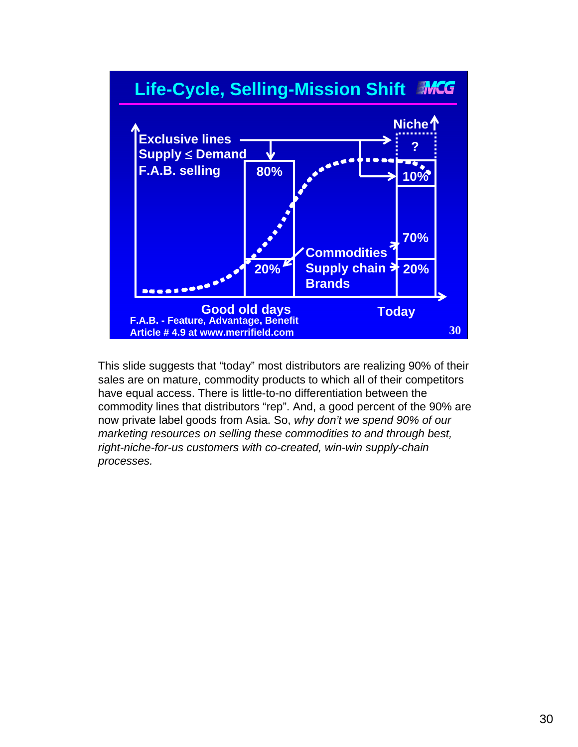

This slide suggests that "today" most distributors are realizing 90% of their sales are on mature, commodity products to which all of their competitors have equal access. There is little-to-no differentiation between the commodity lines that distributors "rep". And, a good percent of the 90% are now private label goods from Asia. So, *why don't we spend 90% of our marketing resources on selling these commodities to and through best, right-niche-for-us customers with co-created, win-win supply-chain processes.*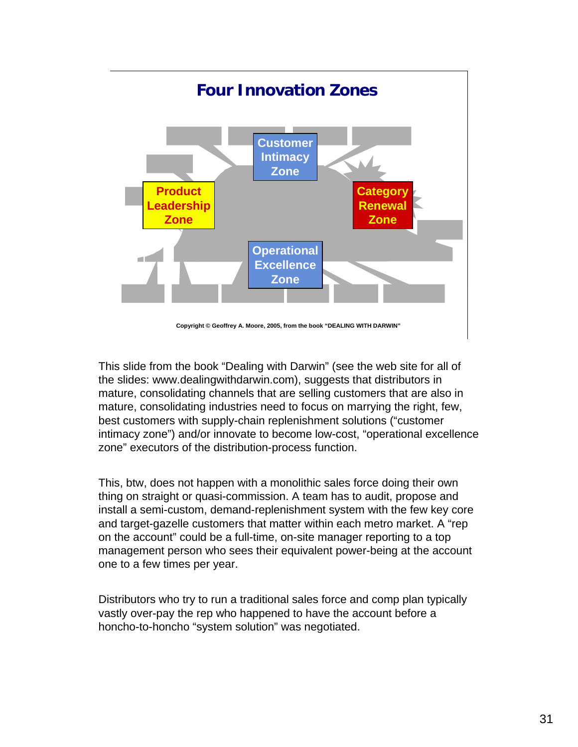

This slide from the book "Dealing with Darwin" (see the web site for all of the slides: www.dealingwithdarwin.com), suggests that distributors in mature, consolidating channels that are selling customers that are also in mature, consolidating industries need to focus on marrying the right, few, best customers with supply-chain replenishment solutions ("customer intimacy zone") and/or innovate to become low-cost, "operational excellence zone" executors of the distribution-process function.

This, btw, does not happen with a monolithic sales force doing their own thing on straight or quasi-commission. A team has to audit, propose and install a semi-custom, demand-replenishment system with the few key core and target-gazelle customers that matter within each metro market. A "rep on the account" could be a full-time, on-site manager reporting to a top management person who sees their equivalent power-being at the account one to a few times per year.

Distributors who try to run a traditional sales force and comp plan typically vastly over-pay the rep who happened to have the account before a honcho-to-honcho "system solution" was negotiated.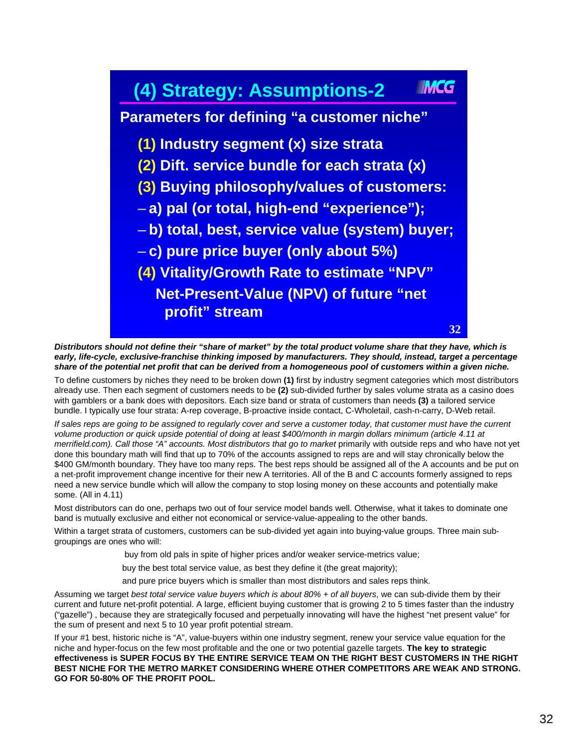### **IMCG (4) Strategy: Assumptions-2 Parameters for defining "a customer niche" (1) Industry segment (x) size strata (2) Dift. service bundle for each strata (x) (3) Buying philosophy/values of customers:**  – **a) pal (or total, high-end "experience");**  – **b) total, best, service value (system) buyer;**  – **c) pure price buyer (only about 5%) (4) Vitality/Growth Rate to estimate "NPV" Net-Present-Value (NPV) of future "net profit" stream 32**

*Distributors should not define their "share of market" by the total product volume share that they have, which is*  early, life-cycle, exclusive-franchise thinking imposed by manufacturers. They should, instead, target a percentage *share of the potential net profit that can be derived from a homogeneous pool of customers within a given niche.* 

To define customers by niches they need to be broken down **(1)** first by industry segment categories which most distributors already use. Then each segment of customers needs to be **(2)** sub-divided further by sales volume strata as a casino does with gamblers or a bank does with depositors. Each size band or strata of customers than needs **(3)** a tailored service bundle. I typically use four strata: A-rep coverage, B-proactive inside contact, C-Wholetail, cash-n-carry, D-Web retail.

*If sales reps are going to be assigned to regularly cover and serve a customer today, that customer must have the current volume production or quick upside potential of doing at least \$400/month in margin dollars minimum (article 4.11 at merrifield.com). Call those "A" accounts. Most distributors that go to market primarily with outside reps and who have not yet* done this boundary math will find that up to 70% of the accounts assigned to reps are and will stay chronically below the \$400 GM/month boundary. They have too many reps. The best reps should be assigned all of the A accounts and be put on a net-profit improvement change incentive for their new A territories. All of the B and C accounts formerly assigned to reps need a new service bundle which will allow the company to stop losing money on these accounts and potentially make some. (All in 4.11)

Most distributors can do one, perhaps two out of four service model bands well. Otherwise, what it takes to dominate one band is mutually exclusive and either not economical or service-value-appealing to the other bands.

Within a target strata of customers, customers can be sub-divided yet again into buying-value groups. Three main subgroupings are ones who will:

- buy from old pals in spite of higher prices and/or weaker service-metrics value;
- buy the best total service value, as best they define it (the great majority);

and pure price buyers which is smaller than most distributors and sales reps think.

Assuming we target *best total service value buyers which is about 80% + of all buyers*, we can sub-divide them by their current and future net-profit potential. A large, efficient buying customer that is growing 2 to 5 times faster than the industry ("gazelle") , because they are strategically focused and perpetually innovating will have the highest "net present value" for the sum of present and next 5 to 10 year profit potential stream.

If your #1 best, historic niche is "A", value-buyers within one industry segment, renew your service value equation for the niche and hyper-focus on the few most profitable and the one or two potential gazelle targets. **The key to strategic effectiveness is SUPER FOCUS BY THE ENTIRE SERVICE TEAM ON THE RIGHT BEST CUSTOMERS IN THE RIGHT BEST NICHE FOR THE METRO MARKET CONSIDERING WHERE OTHER COMPETITORS ARE WEAK AND STRONG. GO FOR 50-80% OF THE PROFIT POOL.**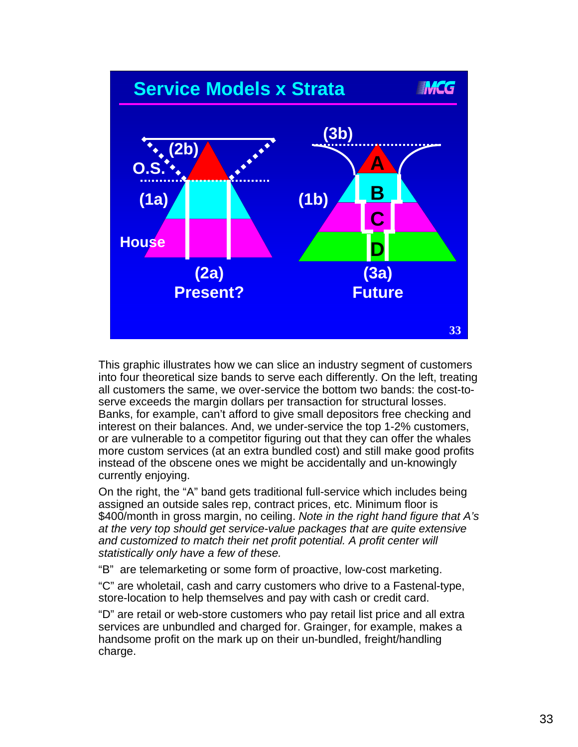

This graphic illustrates how we can slice an industry segment of customers into four theoretical size bands to serve each differently. On the left, treating all customers the same, we over-service the bottom two bands: the cost-toserve exceeds the margin dollars per transaction for structural losses. Banks, for example, can't afford to give small depositors free checking and interest on their balances. And, we under-service the top 1-2% customers, or are vulnerable to a competitor figuring out that they can offer the whales more custom services (at an extra bundled cost) and still make good profits instead of the obscene ones we might be accidentally and un-knowingly currently enjoying.

On the right, the "A" band gets traditional full-service which includes being assigned an outside sales rep, contract prices, etc. Minimum floor is \$400/month in gross margin, no ceiling. *Note in the right hand figure that A's at the very top should get service-value packages that are quite extensive*  and customized to match their net profit potential. A profit center will *statistically only have a few of these.*

"B" are telemarketing or some form of proactive, low-cost marketing.

"C" are wholetail, cash and carry customers who drive to a Fastenal-type, store-location to help themselves and pay with cash or credit card.

"D" are retail or web-store customers who pay retail list price and all extra services are unbundled and charged for. Grainger, for example, makes a handsome profit on the mark up on their un-bundled, freight/handling charge.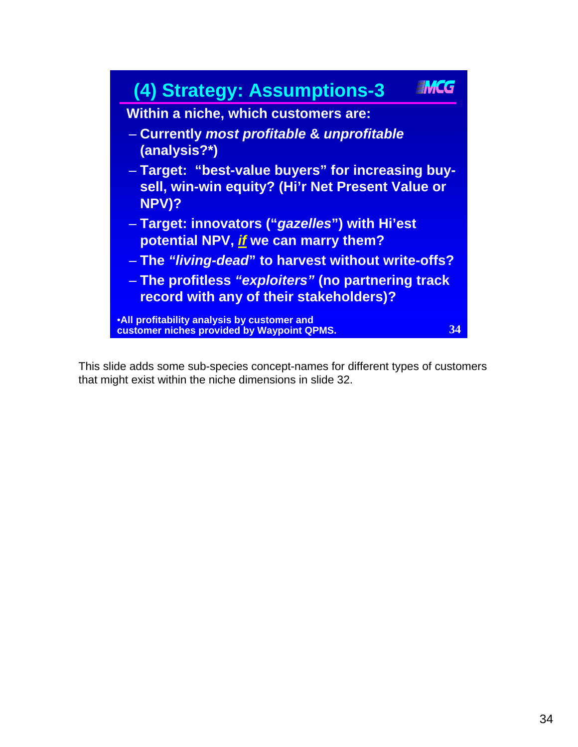

This slide adds some sub-species concept-names for different types of customers that might exist within the niche dimensions in slide 32.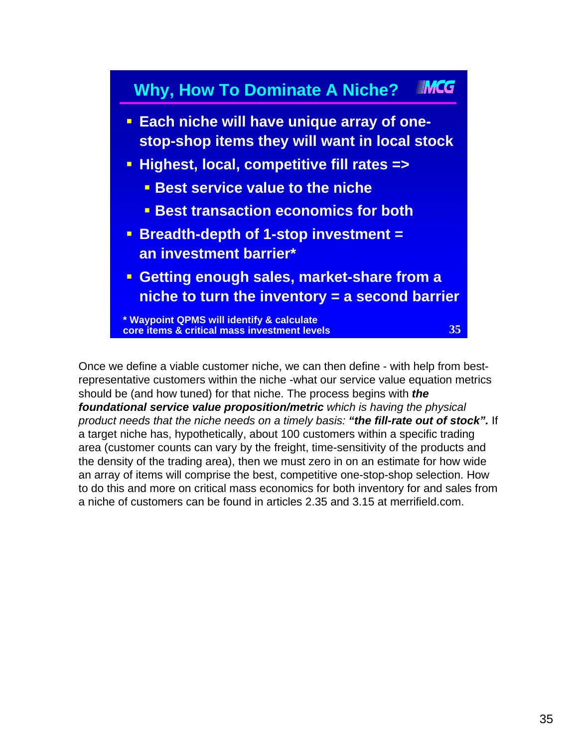#### **INNCG Why, How To Dominate A Niche?**

- **Each niche will have unique array of onestop-shop items they will want in local stock**
- **Highest, local, competitive fill rates =>**
	- **Best service value to the niche**
	- **Best transaction economics for both**
- **Breadth-depth of 1-stop investment = an investment barrier\***
- **Getting enough sales, market-share from a niche to turn the inventory = a second barrier**

**\* Waypoint QPMS will identify & calculate core items & critical mass investment levels**

**35**

Once we define a viable customer niche, we can then define - with help from bestrepresentative customers within the niche -what our service value equation metrics should be (and how tuned) for that niche. The process begins with *the foundational service value proposition/metric which is having the physical product needs that the niche needs on a timely basis: "the fill-rate out of stock".* If a target niche has, hypothetically, about 100 customers within a specific trading area (customer counts can vary by the freight, time-sensitivity of the products and the density of the trading area), then we must zero in on an estimate for how wide an array of items will comprise the best, competitive one-stop-shop selection. How to do this and more on critical mass economics for both inventory for and sales from a niche of customers can be found in articles 2.35 and 3.15 at merrifield.com.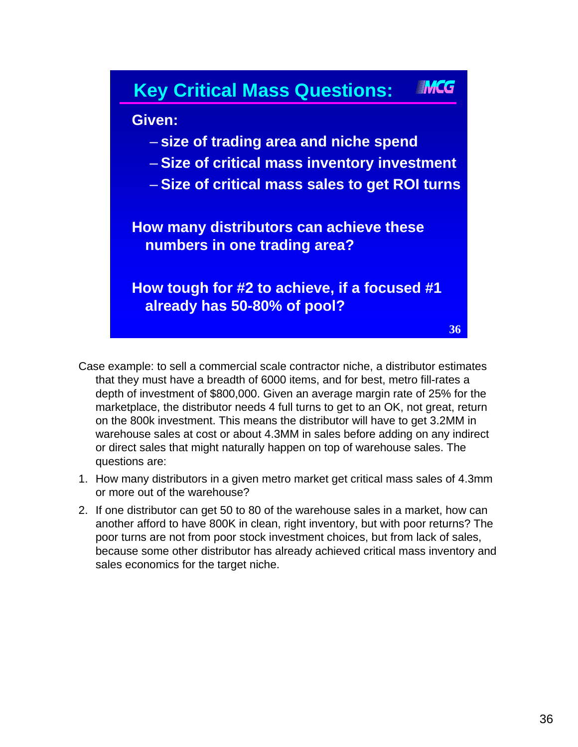

- Case example: to sell a commercial scale contractor niche, a distributor estimates that they must have a breadth of 6000 items, and for best, metro fill-rates a depth of investment of \$800,000. Given an average margin rate of 25% for the marketplace, the distributor needs 4 full turns to get to an OK, not great, return on the 800k investment. This means the distributor will have to get 3.2MM in warehouse sales at cost or about 4.3MM in sales before adding on any indirect or direct sales that might naturally happen on top of warehouse sales. The questions are:
- 1. How many distributors in a given metro market get critical mass sales of 4.3mm or more out of the warehouse?
- 2. If one distributor can get 50 to 80 of the warehouse sales in a market, how can another afford to have 800K in clean, right inventory, but with poor returns? The poor turns are not from poor stock investment choices, but from lack of sales, because some other distributor has already achieved critical mass inventory and sales economics for the target niche.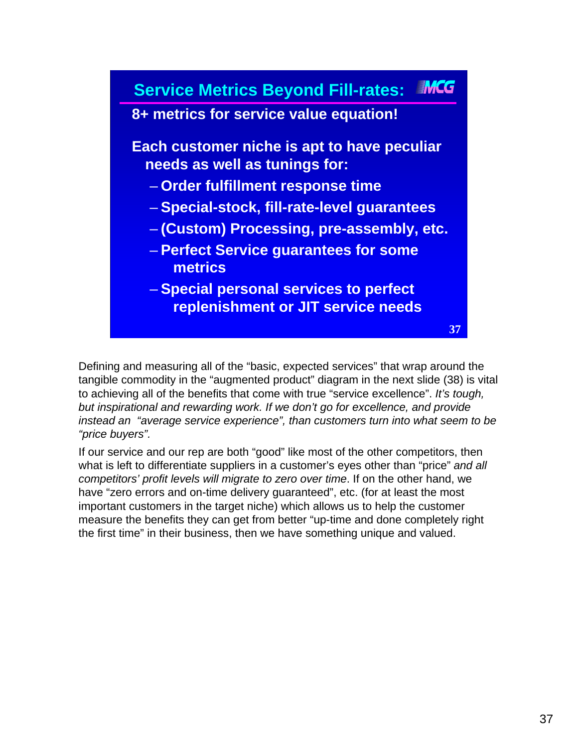

Defining and measuring all of the "basic, expected services" that wrap around the tangible commodity in the "augmented product" diagram in the next slide (38) is vital to achieving all of the benefits that come with true "service excellence". *It's tough, but inspirational and rewarding work. If we don't go for excellence, and provide instead an "average service experience", than customers turn into what seem to be "price buyers".*

If our service and our rep are both "good" like most of the other competitors, then what is left to differentiate suppliers in a customer's eyes other than "price" *and all competitors' profit levels will migrate to zero over time*. If on the other hand, we have "zero errors and on-time delivery guaranteed", etc. (for at least the most important customers in the target niche) which allows us to help the customer measure the benefits they can get from better "up-time and done completely right the first time" in their business, then we have something unique and valued.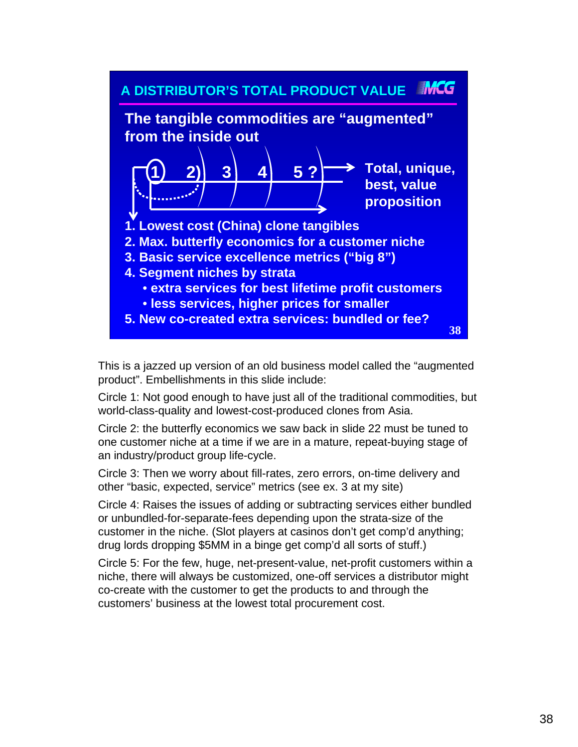

This is a jazzed up version of an old business model called the "augmented product". Embellishments in this slide include:

Circle 1: Not good enough to have just all of the traditional commodities, but world-class-quality and lowest-cost-produced clones from Asia.

Circle 2: the butterfly economics we saw back in slide 22 must be tuned to one customer niche at a time if we are in a mature, repeat-buying stage of an industry/product group life-cycle.

Circle 3: Then we worry about fill-rates, zero errors, on-time delivery and other "basic, expected, service" metrics (see ex. 3 at my site)

Circle 4: Raises the issues of adding or subtracting services either bundled or unbundled-for-separate-fees depending upon the strata-size of the customer in the niche. (Slot players at casinos don't get comp'd anything; drug lords dropping \$5MM in a binge get comp'd all sorts of stuff.)

Circle 5: For the few, huge, net-present-value, net-profit customers within a niche, there will always be customized, one-off services a distributor might co-create with the customer to get the products to and through the customers' business at the lowest total procurement cost.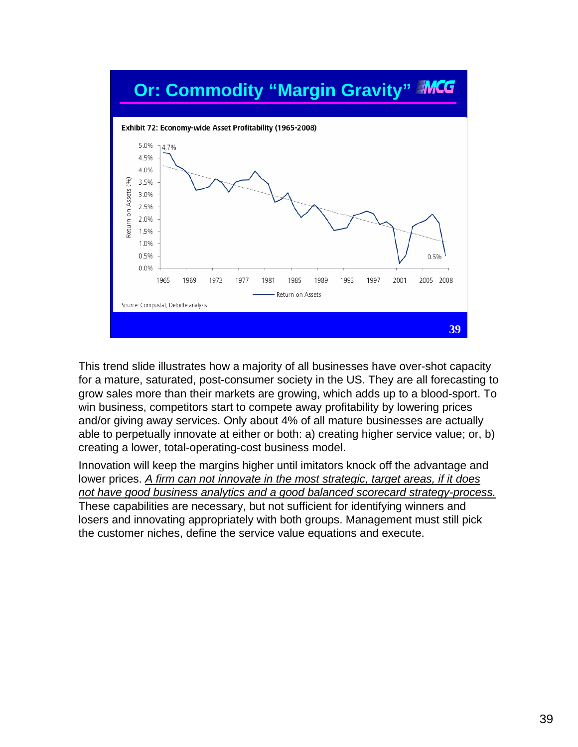

This trend slide illustrates how a majority of all businesses have over-shot capacity for a mature, saturated, post-consumer society in the US. They are all forecasting to grow sales more than their markets are growing, which adds up to a blood-sport. To win business, competitors start to compete away profitability by lowering prices and/or giving away services. Only about 4% of all mature businesses are actually able to perpetually innovate at either or both: a) creating higher service value; or, b) creating a lower, total-operating-cost business model.

Innovation will keep the margins higher until imitators knock off the advantage and lower prices. *A firm can not innovate in the most strategic, target areas, if it does not have good business analytics and a good balanced scorecard strategy-process.* These capabilities are necessary, but not sufficient for identifying winners and losers and innovating appropriately with both groups. Management must still pick the customer niches, define the service value equations and execute.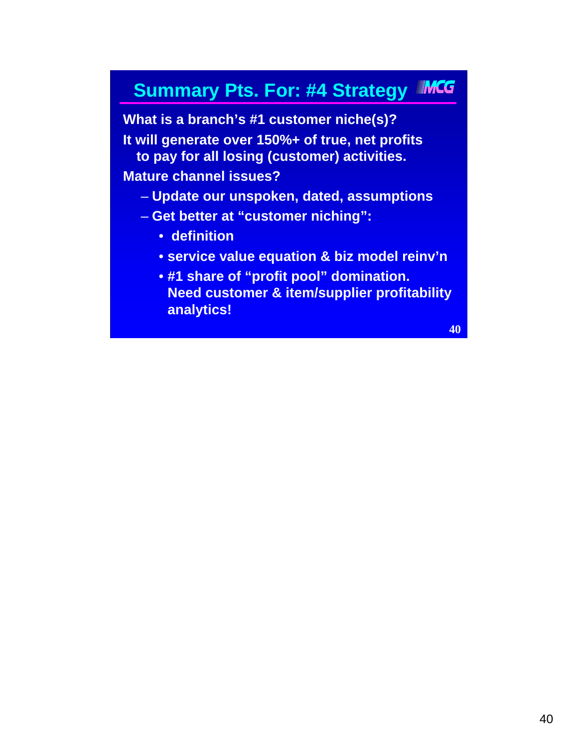## **Summary Pts. For: #4 Strategy MCG**

**What is a branch's #1 customer niche(s)? It will generate over 150%+ of true, net profits to pay for all losing (customer) activities. Mature channel issues?** 

- **Update our unspoken, dated, assumptions**
- **Get better at "customer niching":**
	- **definition**
	- **service value equation & biz model reinv'n**
	- **#1 share of "profit pool" domination. Need customer & item/supplier profitability analytics!**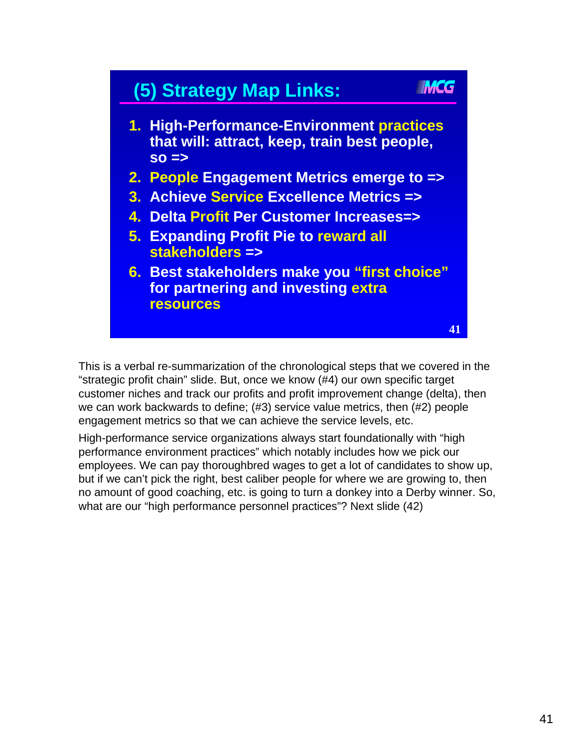# **(5) Strategy Map Links:**

- **1. High-Performance-Environment practices that will: attract, keep, train best people, so =>**
- **2. People Engagement Metrics emerge to =>**
- **3. Achieve Service Excellence Metrics =>**
- **4. Delta Profit Per Customer Increases=>**
- **5. Expanding Profit Pie to reward all stakeholders =>**
- **6. Best stakeholders make you "first choice" for partnering and investing extra resources**

This is a verbal re-summarization of the chronological steps that we covered in the "strategic profit chain" slide. But, once we know (#4) our own specific target customer niches and track our profits and profit improvement change (delta), then we can work backwards to define; (#3) service value metrics, then (#2) people engagement metrics so that we can achieve the service levels, etc.

High-performance service organizations always start foundationally with "high performance environment practices" which notably includes how we pick our employees. We can pay thoroughbred wages to get a lot of candidates to show up, but if we can't pick the right, best caliber people for where we are growing to, then no amount of good coaching, etc. is going to turn a donkey into a Derby winner. So, what are our "high performance personnel practices"? Next slide (42)

**41**

**INACG**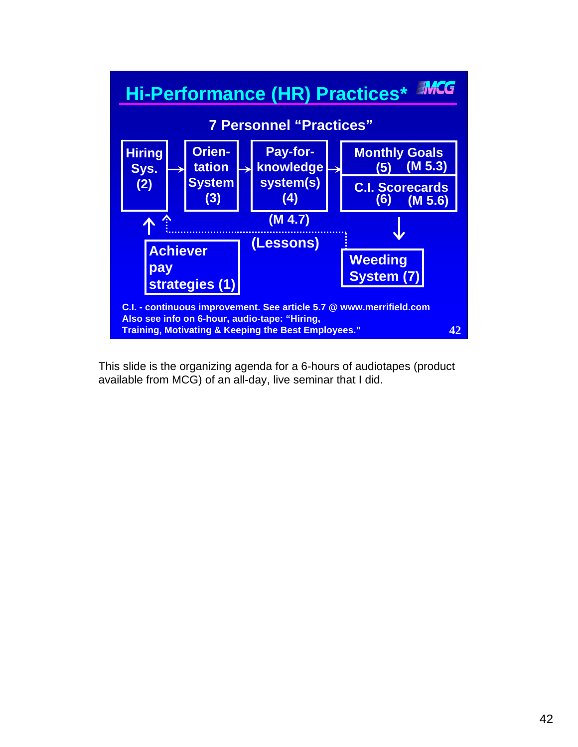

This slide is the organizing agenda for a 6-hours of audiotapes (product available from MCG) of an all-day, live seminar that I did.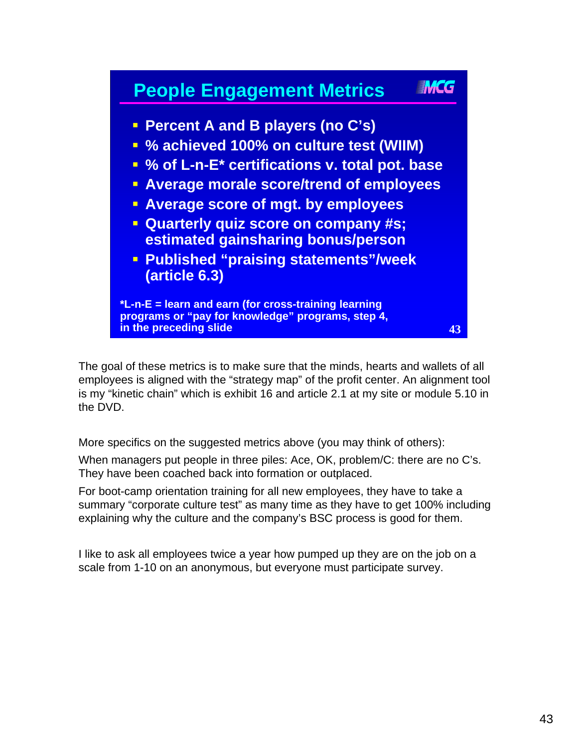

The goal of these metrics is to make sure that the minds, hearts and wallets of all employees is aligned with the "strategy map" of the profit center. An alignment tool is my "kinetic chain" which is exhibit 16 and article 2.1 at my site or module 5.10 in the DVD.

More specifics on the suggested metrics above (you may think of others):

When managers put people in three piles: Ace, OK, problem/C: there are no C's. They have been coached back into formation or outplaced.

For boot-camp orientation training for all new employees, they have to take a summary "corporate culture test" as many time as they have to get 100% including explaining why the culture and the company's BSC process is good for them.

I like to ask all employees twice a year how pumped up they are on the job on a scale from 1-10 on an anonymous, but everyone must participate survey.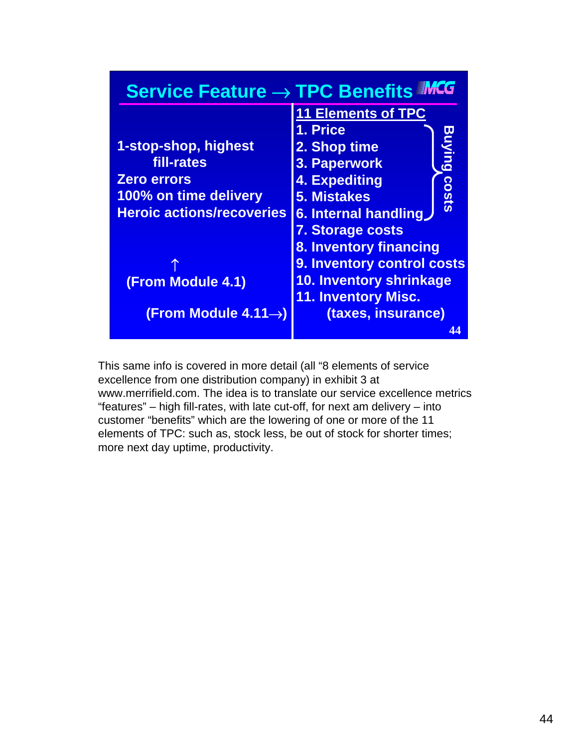| <b>Service Feature → TPC Benefits MCG</b> |                                |
|-------------------------------------------|--------------------------------|
|                                           | <b>11 Elements of TPC</b>      |
|                                           | 1. Price                       |
| 1-stop-shop, highest                      | Buying<br>2. Shop time         |
| fill-rates                                | 3. Paperwork                   |
| <b>Zero errors</b>                        | <b>4. Expediting</b>           |
| 100% on time delivery                     | costs<br><b>5. Mistakes</b>    |
| <b>Heroic actions/recoveries</b>          | 6. Internal handling           |
|                                           | <b>7. Storage costs</b>        |
|                                           | <b>8. Inventory financing</b>  |
|                                           | 9. Inventory control costs     |
| <b>(From Module 4.1)</b>                  | <b>10. Inventory shrinkage</b> |
|                                           | <b>11. Inventory Misc.</b>     |
| (From Module 4.11 $\rightarrow$ )         | (taxes, insurance)             |
|                                           | Δ4                             |

This same info is covered in more detail (all "8 elements of service excellence from one distribution company) in exhibit 3 at www.merrifield.com. The idea is to translate our service excellence metrics "features" – high fill-rates, with late cut-off, for next am delivery – into customer "benefits" which are the lowering of one or more of the 11 elements of TPC: such as, stock less, be out of stock for shorter times; more next day uptime, productivity.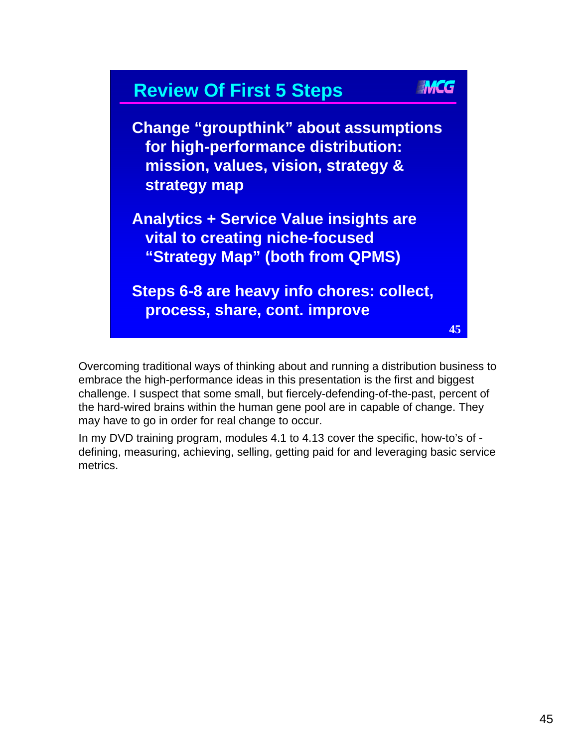

Overcoming traditional ways of thinking about and running a distribution business to embrace the high-performance ideas in this presentation is the first and biggest challenge. I suspect that some small, but fiercely-defending-of-the-past, percent of the hard-wired brains within the human gene pool are in capable of change. They may have to go in order for real change to occur.

In my DVD training program, modules 4.1 to 4.13 cover the specific, how-to's of defining, measuring, achieving, selling, getting paid for and leveraging basic service metrics.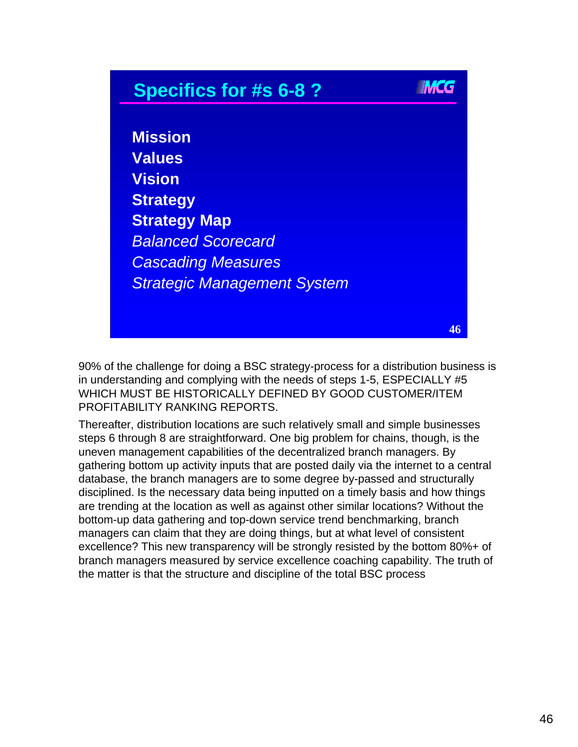## **THE G Specifics for #s 6-8 ? Mission Values Vision Strategy Strategy Map** *Balanced Scorecard Cascading Measures Strategic Management System* **46**

90% of the challenge for doing a BSC strategy-process for a distribution business is in understanding and complying with the needs of steps 1-5, ESPECIALLY #5 WHICH MUST BE HISTORICALLY DEFINED BY GOOD CUSTOMER/ITEM PROFITABILITY RANKING REPORTS.

Thereafter, distribution locations are such relatively small and simple businesses steps 6 through 8 are straightforward. One big problem for chains, though, is the uneven management capabilities of the decentralized branch managers. By gathering bottom up activity inputs that are posted daily via the internet to a central database, the branch managers are to some degree by-passed and structurally disciplined. Is the necessary data being inputted on a timely basis and how things are trending at the location as well as against other similar locations? Without the bottom-up data gathering and top-down service trend benchmarking, branch managers can claim that they are doing things, but at what level of consistent excellence? This new transparency will be strongly resisted by the bottom 80%+ of branch managers measured by service excellence coaching capability. The truth of the matter is that the structure and discipline of the total BSC process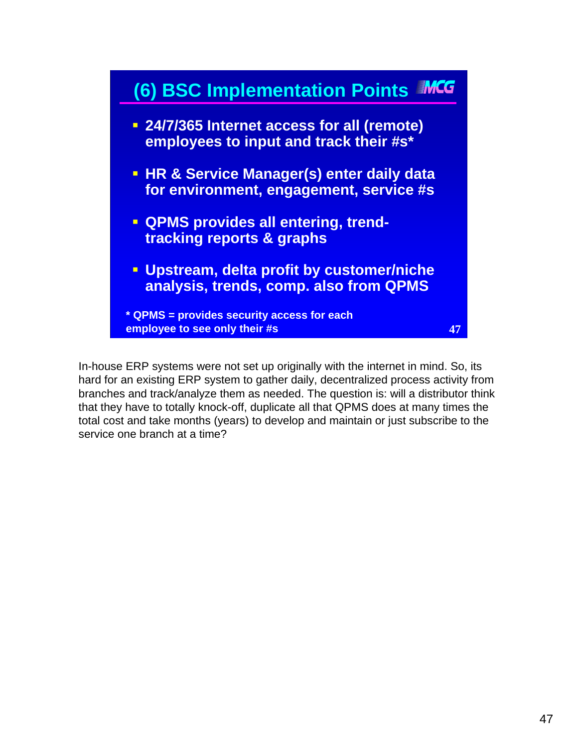

In-house ERP systems were not set up originally with the internet in mind. So, its hard for an existing ERP system to gather daily, decentralized process activity from branches and track/analyze them as needed. The question is: will a distributor think that they have to totally knock-off, duplicate all that QPMS does at many times the total cost and take months (years) to develop and maintain or just subscribe to the service one branch at a time?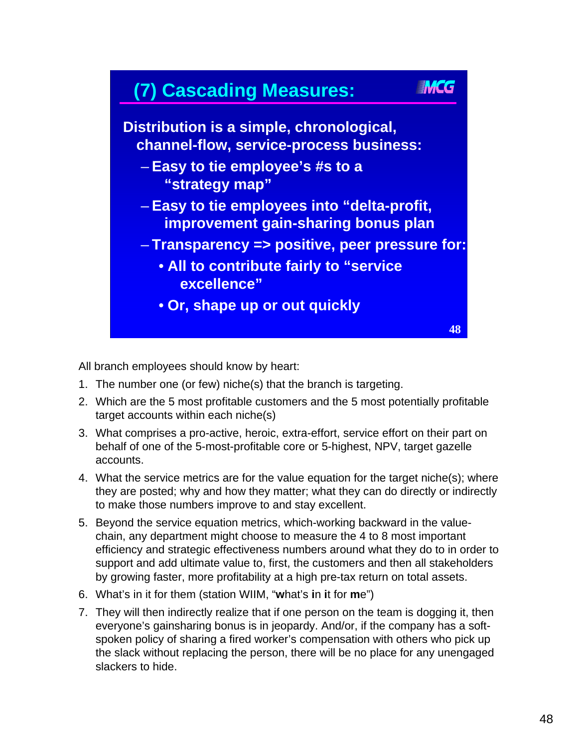

All branch employees should know by heart:

- 1. The number one (or few) niche(s) that the branch is targeting.
- 2. Which are the 5 most profitable customers and the 5 most potentially profitable target accounts within each niche(s)
- 3. What comprises a pro-active, heroic, extra-effort, service effort on their part on behalf of one of the 5-most-profitable core or 5-highest, NPV, target gazelle accounts.
- 4. What the service metrics are for the value equation for the target niche(s); where they are posted; why and how they matter; what they can do directly or indirectly to make those numbers improve to and stay excellent.
- 5. Beyond the service equation metrics, which-working backward in the valuechain, any department might choose to measure the 4 to 8 most important efficiency and strategic effectiveness numbers around what they do to in order to support and add ultimate value to, first, the customers and then all stakeholders by growing faster, more profitability at a high pre-tax return on total assets.
- 6. What's in it for them (station WIIM, "**w**hat's **i**n **i**t for **m**e")
- 7. They will then indirectly realize that if one person on the team is dogging it, then everyone's gainsharing bonus is in jeopardy. And/or, if the company has a softspoken policy of sharing a fired worker's compensation with others who pick up the slack without replacing the person, there will be no place for any unengaged slackers to hide.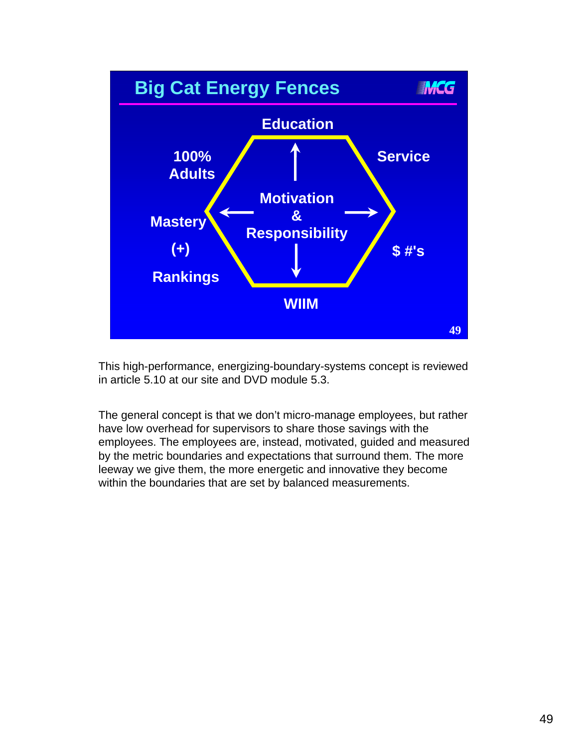

This high-performance, energizing-boundary-systems concept is reviewed in article 5.10 at our site and DVD module 5.3.

The general concept is that we don't micro-manage employees, but rather have low overhead for supervisors to share those savings with the employees. The employees are, instead, motivated, guided and measured by the metric boundaries and expectations that surround them. The more leeway we give them, the more energetic and innovative they become within the boundaries that are set by balanced measurements.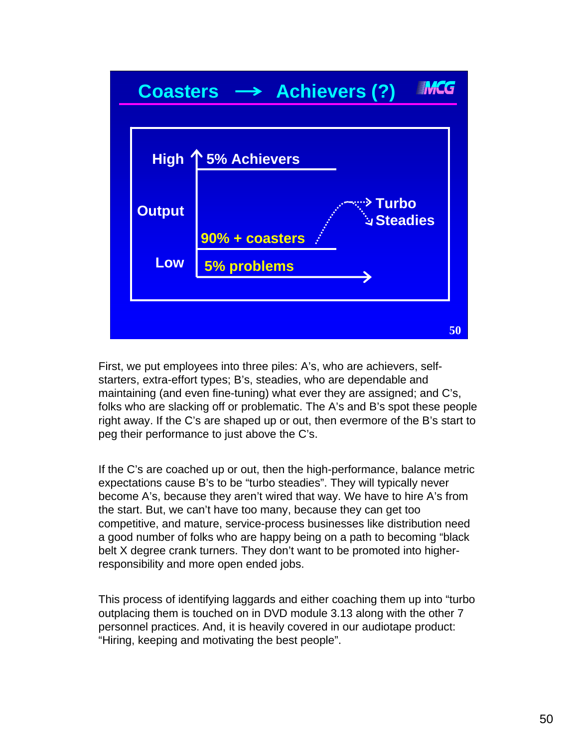

First, we put employees into three piles: A's, who are achievers, selfstarters, extra-effort types; B's, steadies, who are dependable and maintaining (and even fine-tuning) what ever they are assigned; and C's, folks who are slacking off or problematic. The A's and B's spot these people right away. If the C's are shaped up or out, then evermore of the B's start to peg their performance to just above the C's.

If the C's are coached up or out, then the high-performance, balance metric expectations cause B's to be "turbo steadies". They will typically never become A's, because they aren't wired that way. We have to hire A's from the start. But, we can't have too many, because they can get too competitive, and mature, service-process businesses like distribution need a good number of folks who are happy being on a path to becoming "black belt X degree crank turners. They don't want to be promoted into higherresponsibility and more open ended jobs.

This process of identifying laggards and either coaching them up into "turbo outplacing them is touched on in DVD module 3.13 along with the other 7 personnel practices. And, it is heavily covered in our audiotape product: "Hiring, keeping and motivating the best people".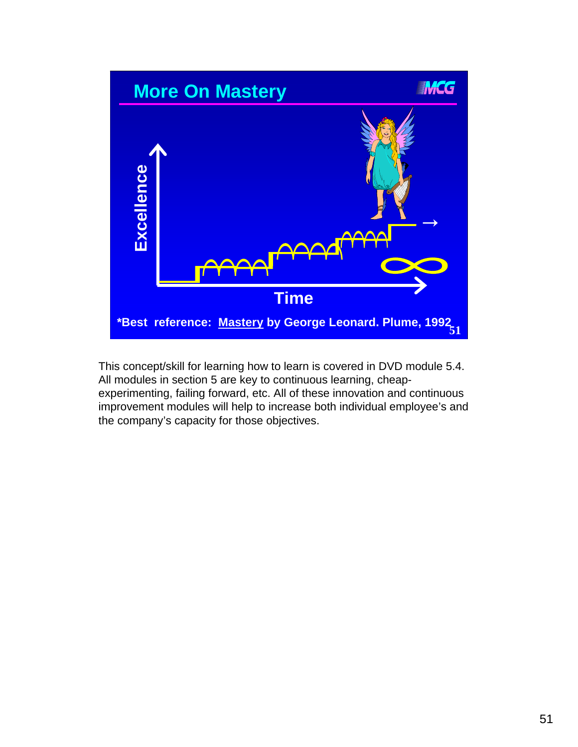

This concept/skill for learning how to learn is covered in DVD module 5.4. All modules in section 5 are key to continuous learning, cheapexperimenting, failing forward, etc. All of these innovation and continuous improvement modules will help to increase both individual employee's and the company's capacity for those objectives.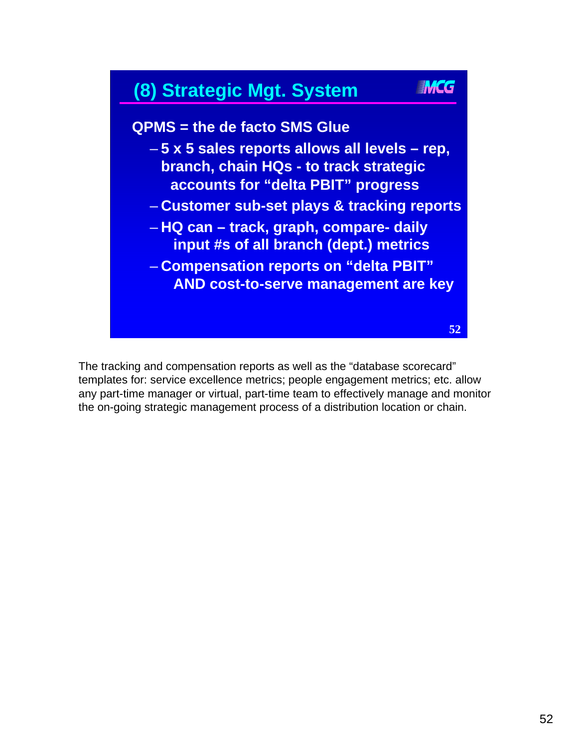

The tracking and compensation reports as well as the "database scorecard" templates for: service excellence metrics; people engagement metrics; etc. allow any part-time manager or virtual, part-time team to effectively manage and monitor the on-going strategic management process of a distribution location or chain.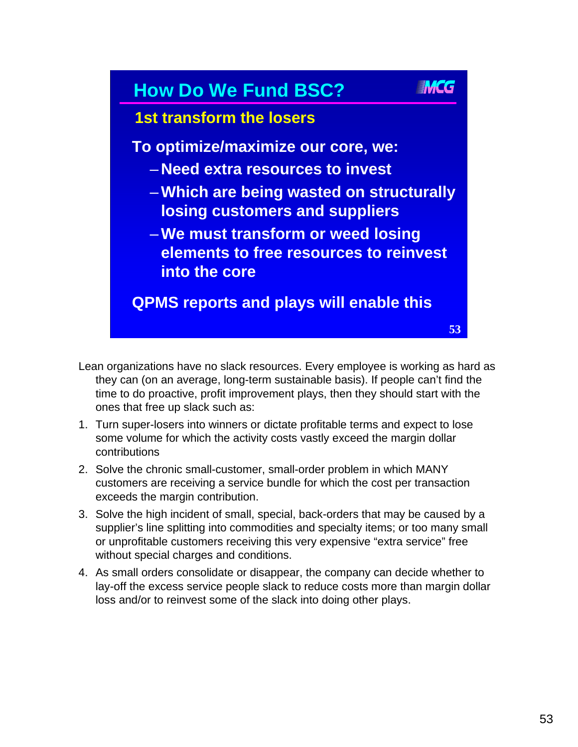

- Lean organizations have no slack resources. Every employee is working as hard as they can (on an average, long-term sustainable basis). If people can't find the time to do proactive, profit improvement plays, then they should start with the ones that free up slack such as:
- 1. Turn super-losers into winners or dictate profitable terms and expect to lose some volume for which the activity costs vastly exceed the margin dollar contributions
- 2. Solve the chronic small-customer, small-order problem in which MANY customers are receiving a service bundle for which the cost per transaction exceeds the margin contribution.
- 3. Solve the high incident of small, special, back-orders that may be caused by a supplier's line splitting into commodities and specialty items; or too many small or unprofitable customers receiving this very expensive "extra service" free without special charges and conditions.
- 4. As small orders consolidate or disappear, the company can decide whether to lay-off the excess service people slack to reduce costs more than margin dollar loss and/or to reinvest some of the slack into doing other plays.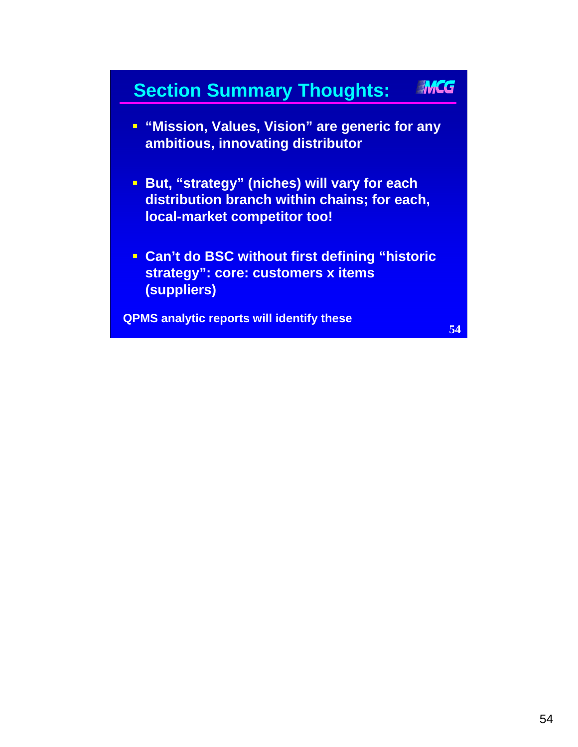#### IMCG **Section Summary Thoughts:**

- **"Mission, Values, Vision" are generic for any ambitious, innovating distributor**
- **But, "strategy" (niches) will vary for each distribution branch within chains; for each, local-market competitor too!**
- **Can't do BSC without first defining "historic strategy": core: customers x items (suppliers)**

**QPMS analytic reports will identify these**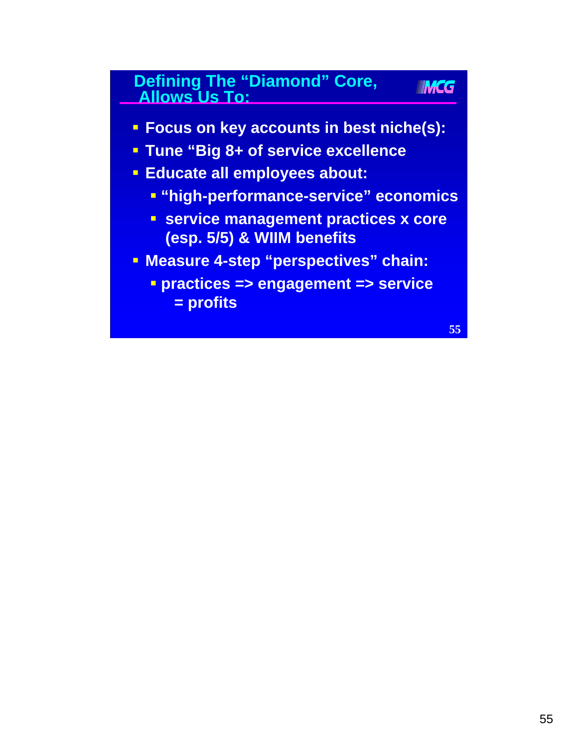### **Defining The "Diamond" Core, Allows Us To:**

- **Focus on key accounts in best niche(s):**
- **Tune "Big 8+ of service excellence**
- **Educate all employees about:**
	- **"high-performance-service" economics**
	- **service management practices x core (esp. 5/5) & WIIM benefits**
- **Measure 4-step "perspectives" chain:**
	- **practices => engagement => service = profits**

**55**

**IMCG**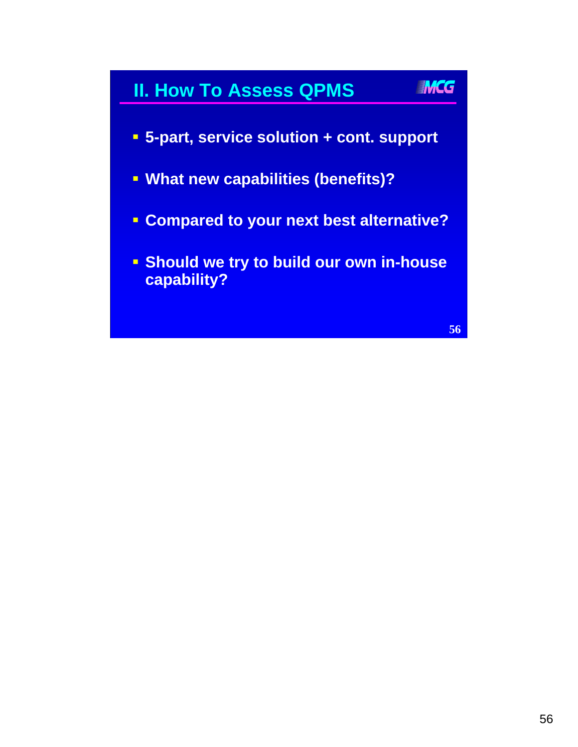### **II. How To Assess QPMS**



- **What new capabilities (benefits)?**
- **Compared to your next best alternative?**
- **Should we try to build our own in-house capability?**

**56**

IMCG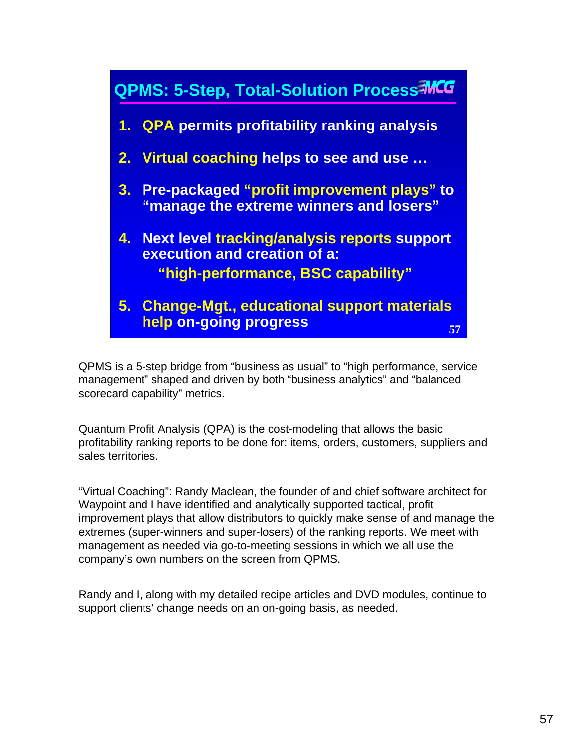

QPMS is a 5-step bridge from "business as usual" to "high performance, service management" shaped and driven by both "business analytics" and "balanced scorecard capability" metrics.

Quantum Profit Analysis (QPA) is the cost-modeling that allows the basic profitability ranking reports to be done for: items, orders, customers, suppliers and sales territories.

"Virtual Coaching": Randy Maclean, the founder of and chief software architect for Waypoint and I have identified and analytically supported tactical, profit improvement plays that allow distributors to quickly make sense of and manage the extremes (super-winners and super-losers) of the ranking reports. We meet with management as needed via go-to-meeting sessions in which we all use the company's own numbers on the screen from QPMS.

Randy and I, along with my detailed recipe articles and DVD modules, continue to support clients' change needs on an on-going basis, as needed.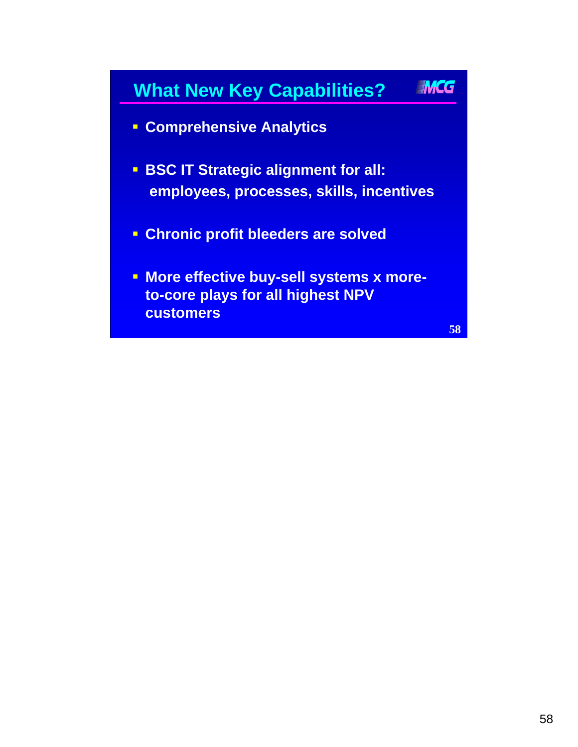# IMCG **What New Key Capabilities? Comprehensive Analytics BSC IT Strategic alignment for all: employees, processes, skills, incentives Chronic profit bleeders are solved - More effective buy-sell systems x moreto-core plays for all highest NPV customers**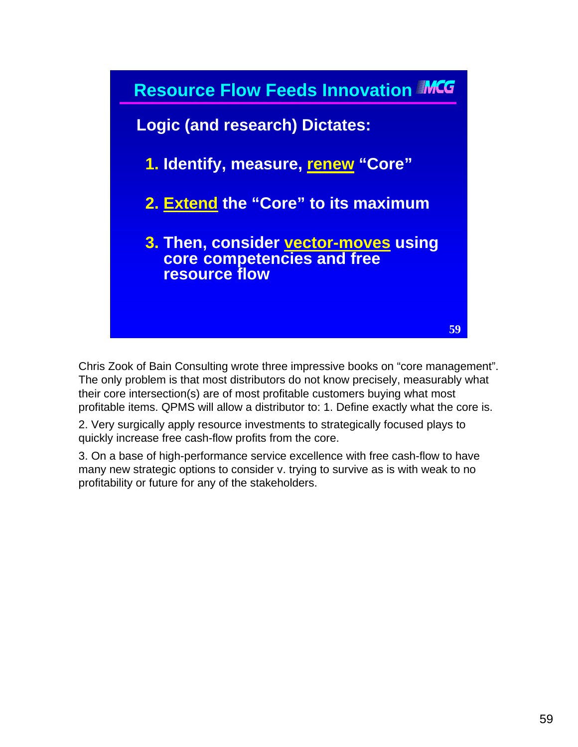

Chris Zook of Bain Consulting wrote three impressive books on "core management". The only problem is that most distributors do not know precisely, measurably what their core intersection(s) are of most profitable customers buying what most profitable items. QPMS will allow a distributor to: 1. Define exactly what the core is.

2. Very surgically apply resource investments to strategically focused plays to quickly increase free cash-flow profits from the core.

3. On a base of high-performance service excellence with free cash-flow to have many new strategic options to consider v. trying to survive as is with weak to no profitability or future for any of the stakeholders.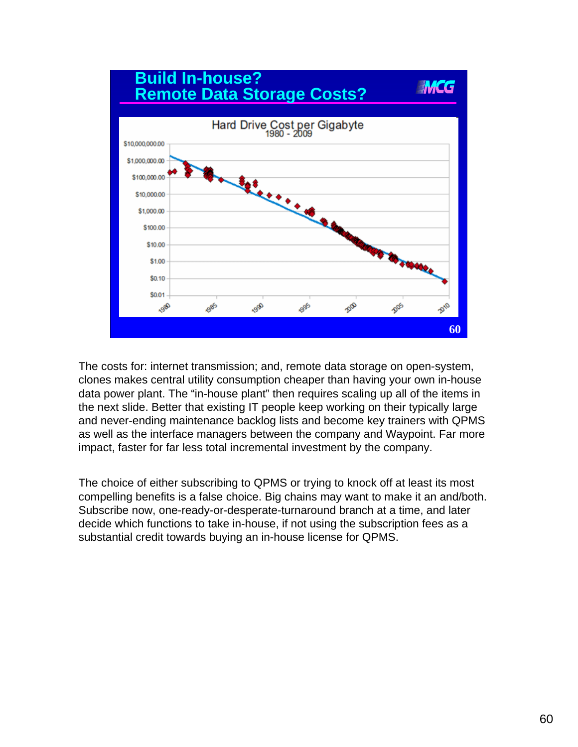

The costs for: internet transmission; and, remote data storage on open-system, clones makes central utility consumption cheaper than having your own in-house data power plant. The "in-house plant" then requires scaling up all of the items in the next slide. Better that existing IT people keep working on their typically large and never-ending maintenance backlog lists and become key trainers with QPMS as well as the interface managers between the company and Waypoint. Far more impact, faster for far less total incremental investment by the company.

The choice of either subscribing to QPMS or trying to knock off at least its most compelling benefits is a false choice. Big chains may want to make it an and/both. Subscribe now, one-ready-or-desperate-turnaround branch at a time, and later decide which functions to take in-house, if not using the subscription fees as a substantial credit towards buying an in-house license for QPMS.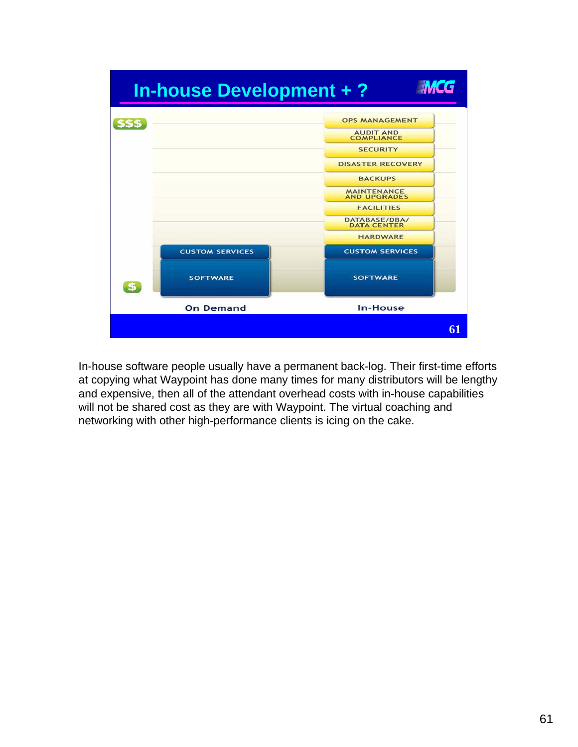

In-house software people usually have a permanent back-log. Their first-time efforts at copying what Waypoint has done many times for many distributors will be lengthy and expensive, then all of the attendant overhead costs with in-house capabilities will not be shared cost as they are with Waypoint. The virtual coaching and networking with other high-performance clients is icing on the cake.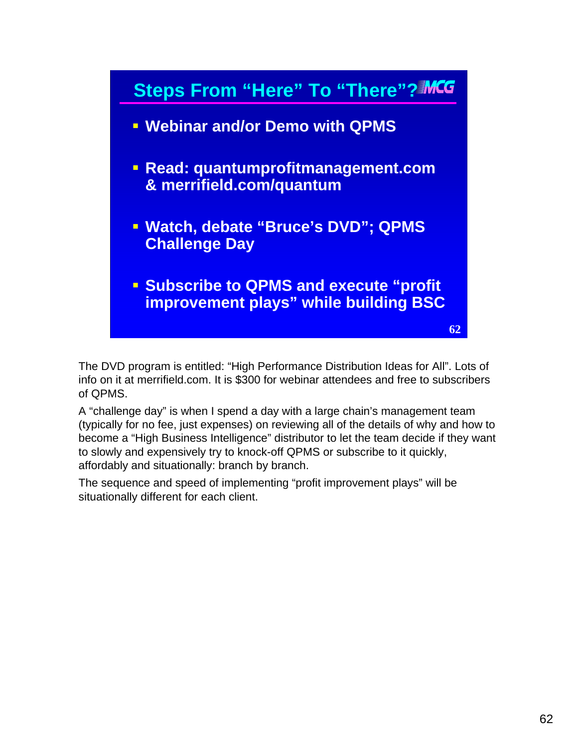

The DVD program is entitled: "High Performance Distribution Ideas for All". Lots of info on it at merrifield.com. It is \$300 for webinar attendees and free to subscribers of QPMS.

A "challenge day" is when I spend a day with a large chain's management team (typically for no fee, just expenses) on reviewing all of the details of why and how to become a "High Business Intelligence" distributor to let the team decide if they want to slowly and expensively try to knock-off QPMS or subscribe to it quickly, affordably and situationally: branch by branch.

The sequence and speed of implementing "profit improvement plays" will be situationally different for each client.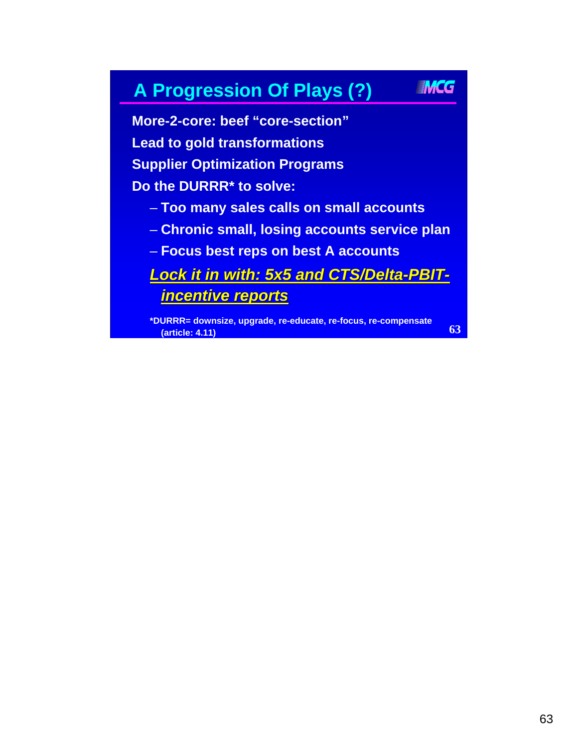### **A Progression Of Plays (?)**

**More-2-core: beef "core-section" Lead to gold transformations Supplier Optimization Programs Do the DURRR\* to solve:** 

– **Too many sales calls on small accounts**

- **Chronic small, losing accounts service plan**
- **Focus best reps on best A accounts**

*Lock it in with: 5x5 and CTS/Delta Lock it in with: 5x5 and CTS/Delta-PBITincentive reports incentive reports*

**\*DURRR= downsize, upgrade, re-educate, re-focus, re-compensate (article: 4.11)**

**63**

IMCG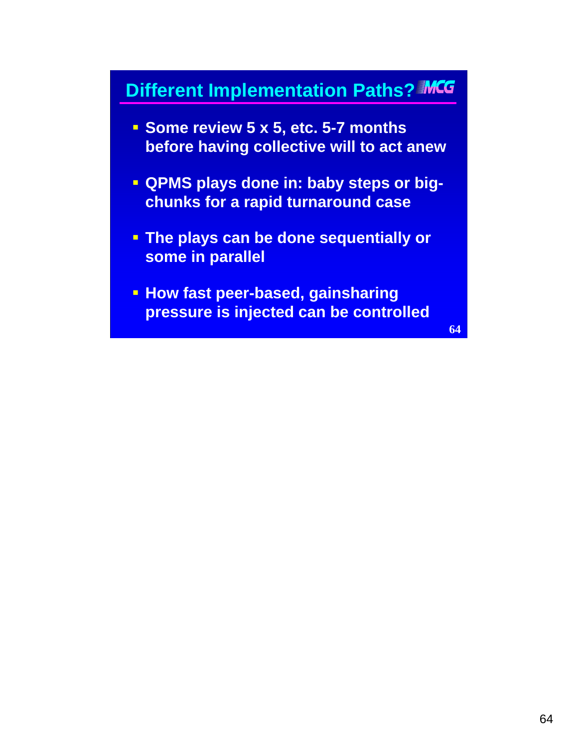### **Different Implementation Paths? MCG**

- **Some review 5 x 5, etc. 5-7 months before having collective will to act anew**
- **QPMS plays done in: baby steps or bigchunks for a rapid turnaround case**
- **The plays can be done sequentially or some in parallel**
- **How fast peer-based, gainsharing pressure is injected can be controlled**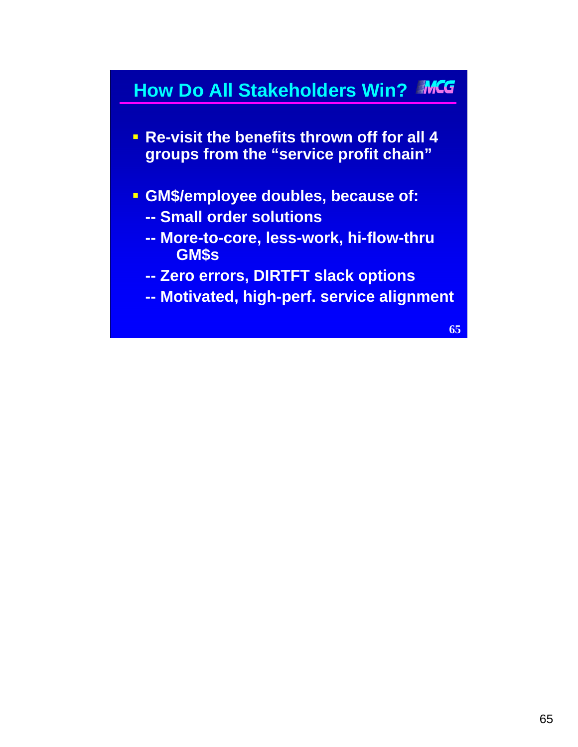## **How Do All Stakeholders Win?**

- **Re-visit the benefits thrown off for all 4 groups from the "service profit chain"**
- **GM\$/employee doubles, because of:**
	- **-- Small order solutions**
	- **-- More-to-core, less-work, hi-flow-thru GM\$s**
	- **-- Zero errors, DIRTFT slack options**
	- **-- Motivated, high-perf. service alignment**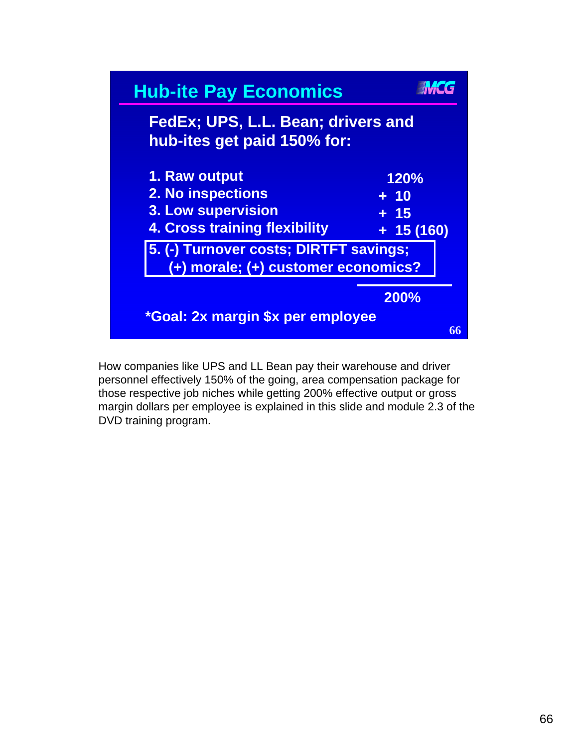

How companies like UPS and LL Bean pay their warehouse and driver personnel effectively 150% of the going, area compensation package for those respective job niches while getting 200% effective output or gross margin dollars per employee is explained in this slide and module 2.3 of the DVD training program.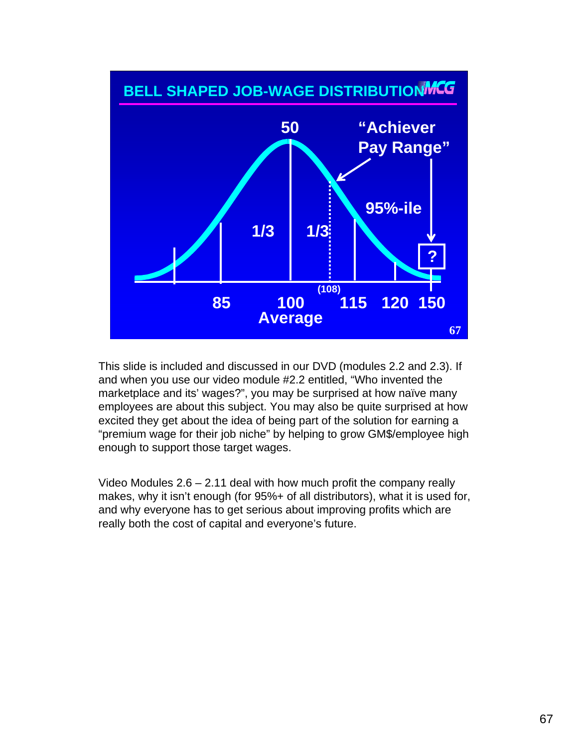

This slide is included and discussed in our DVD (modules 2.2 and 2.3). If and when you use our video module #2.2 entitled, "Who invented the marketplace and its' wages?", you may be surprised at how naïve many employees are about this subject. You may also be quite surprised at how excited they get about the idea of being part of the solution for earning a "premium wage for their job niche" by helping to grow GM\$/employee high enough to support those target wages.

Video Modules  $2.6 - 2.11$  deal with how much profit the company really makes, why it isn't enough (for 95%+ of all distributors), what it is used for, and why everyone has to get serious about improving profits which are really both the cost of capital and everyone's future.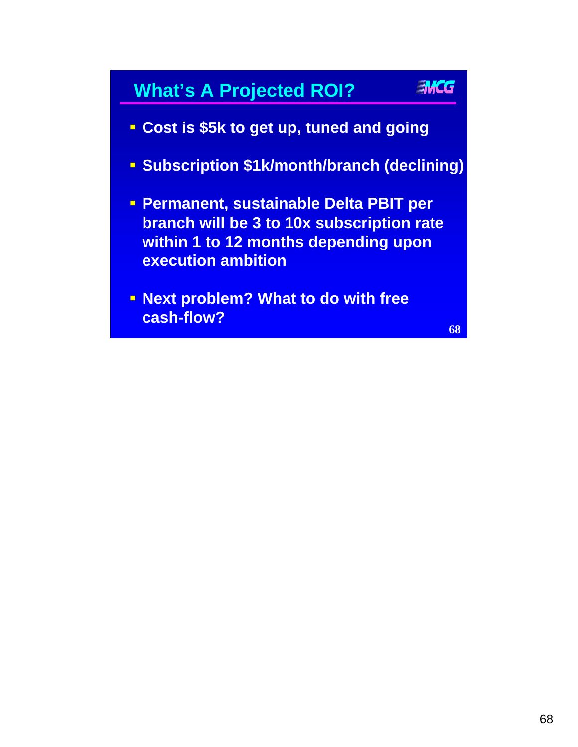### **What's A Projected ROI?**

**IMCG** 

- **Cost is \$5k to get up, tuned and going**
- **Subscription \$1k/month/branch (declining)**
- **Permanent, sustainable Delta PBIT per branch will be 3 to 10x subscription rate within 1 to 12 months depending upon execution ambition**
- **Next problem? What to do with free cash-flow?**